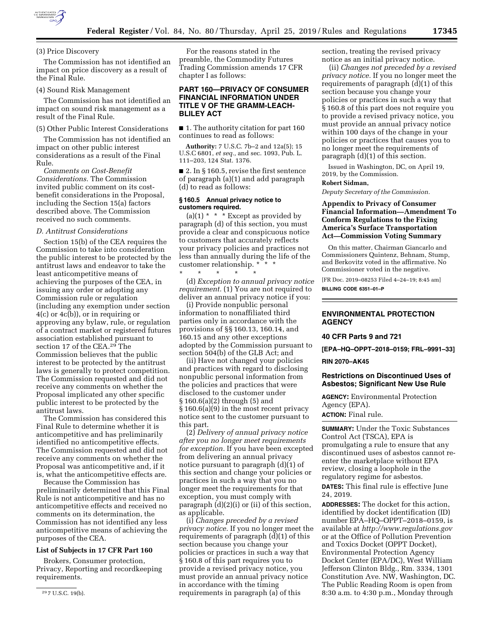

#### (3) Price Discovery

The Commission has not identified an impact on price discovery as a result of the Final Rule.

#### (4) Sound Risk Management

The Commission has not identified an impact on sound risk management as a result of the Final Rule.

# (5) Other Public Interest Considerations

The Commission has not identified an impact on other public interest considerations as a result of the Final Rule.

*Comments on Cost-Benefit Considerations.* The Commission invited public comment on its costbenefit considerations in the Proposal, including the Section 15(a) factors described above. The Commission received no such comments.

#### *D. Antitrust Considerations*

Section 15(b) of the CEA requires the Commission to take into consideration the public interest to be protected by the antitrust laws and endeavor to take the least anticompetitive means of achieving the purposes of the CEA, in issuing any order or adopting any Commission rule or regulation (including any exemption under section 4(c) or 4c(b)), or in requiring or approving any bylaw, rule, or regulation of a contract market or registered futures association established pursuant to section 17 of the CEA.29 The Commission believes that the public interest to be protected by the antitrust laws is generally to protect competition. The Commission requested and did not receive any comments on whether the Proposal implicated any other specific public interest to be protected by the antitrust laws.

The Commission has considered this Final Rule to determine whether it is anticompetitive and has preliminarily identified no anticompetitive effects. The Commission requested and did not receive any comments on whether the Proposal was anticompetitive and, if it is, what the anticompetitive effects are.

Because the Commission has preliminarily determined that this Final Rule is not anticompetitive and has no anticompetitive effects and received no comments on its determination, the Commission has not identified any less anticompetitive means of achieving the purposes of the CEA.

# **List of Subjects in 17 CFR Part 160**

Brokers, Consumer protection, Privacy, Reporting and recordkeeping requirements.

29 7 U.S.C. 19(b).

For the reasons stated in the preamble, the Commodity Futures Trading Commission amends 17 CFR chapter I as follows:

# **PART 160—PRIVACY OF CONSUMER FINANCIAL INFORMATION UNDER TITLE V OF THE GRAMM-LEACH-BLILEY ACT**

■ 1. The authority citation for part 160 continues to read as follows:

**Authority:** 7 U.S.C. 7b–2 and 12a(5); 15 U.S.C 6801, *et seq.,* and sec. 1093, Pub. L. 111–203, 124 Stat. 1376.

■ 2. In § 160.5, revise the first sentence of paragraph (a)(1) and add paragraph (d) to read as follows:

# **§ 160.5 Annual privacy notice to customers required.**

(a)(1)  $*$   $*$   $*$  Except as provided by paragraph (d) of this section, you must provide a clear and conspicuous notice to customers that accurately reflects your privacy policies and practices not less than annually during the life of the customer relationship. \* \* \*

\* \* \* \* \* (d) *Exception to annual privacy notice requirement.* (1) You are not required to deliver an annual privacy notice if you:

(i) Provide nonpublic personal information to nonaffiliated third parties only in accordance with the provisions of §§ 160.13, 160.14, and 160.15 and any other exceptions adopted by the Commission pursuant to section 504(b) of the GLB Act; and

(ii) Have not changed your policies and practices with regard to disclosing nonpublic personal information from the policies and practices that were disclosed to the customer under § 160.6(a)(2) through (5) and § 160.6(a)(9) in the most recent privacy notice sent to the customer pursuant to this part.

(2) *Delivery of annual privacy notice after you no longer meet requirements for exception.* If you have been excepted from delivering an annual privacy notice pursuant to paragraph (d)(1) of this section and change your policies or practices in such a way that you no longer meet the requirements for that exception, you must comply with paragraph (d)(2)(i) or (ii) of this section, as applicable.

(i) *Changes preceded by a revised privacy notice.* If you no longer meet the requirements of paragraph (d)(1) of this section because you change your policies or practices in such a way that § 160.8 of this part requires you to provide a revised privacy notice, you must provide an annual privacy notice in accordance with the timing requirements in paragraph (a) of this

section, treating the revised privacy notice as an initial privacy notice.

(ii) *Changes not preceded by a revised privacy notice.* If you no longer meet the requirements of paragraph (d)(1) of this section because you change your policies or practices in such a way that § 160.8 of this part does not require you to provide a revised privacy notice, you must provide an annual privacy notice within 100 days of the change in your policies or practices that causes you to no longer meet the requirements of paragraph (d)(1) of this section.

Issued in Washington, DC, on April 19, 2019, by the Commission.

# **Robert Sidman,**

*Deputy Secretary of the Commission.* 

# **Appendix to Privacy of Consumer Financial Information—Amendment To Conform Regulations to the Fixing America's Surface Transportation Act—Commission Voting Summary**

On this matter, Chairman Giancarlo and Commissioners Quintenz, Behnam, Stump, and Berkovitz voted in the affirmative. No Commissioner voted in the negative.

[FR Doc. 2019–08253 Filed 4–24–19; 8:45 am] **BILLING CODE 6351–01–P** 

# **ENVIRONMENTAL PROTECTION AGENCY**

# **40 CFR Parts 9 and 721**

**[EPA–HQ–OPPT–2018–0159; FRL–9991–33]** 

#### **RIN 2070–AK45**

# **Restrictions on Discontinued Uses of Asbestos; Significant New Use Rule**

**AGENCY:** Environmental Protection Agency (EPA).

**ACTION:** Final rule.

**SUMMARY:** Under the Toxic Substances Control Act (TSCA), EPA is promulgating a rule to ensure that any discontinued uses of asbestos cannot reenter the marketplace without EPA review, closing a loophole in the regulatory regime for asbestos.

**DATES:** This final rule is effective June 24, 2019.

**ADDRESSES:** The docket for this action, identified by docket identification (ID) number EPA–HQ–OPPT–2018–0159, is available at *<http://www.regulations.gov>* or at the Office of Pollution Prevention and Toxics Docket (OPPT Docket), Environmental Protection Agency Docket Center (EPA/DC), West William Jefferson Clinton Bldg., Rm. 3334, 1301 Constitution Ave. NW, Washington, DC. The Public Reading Room is open from 8:30 a.m. to 4:30 p.m., Monday through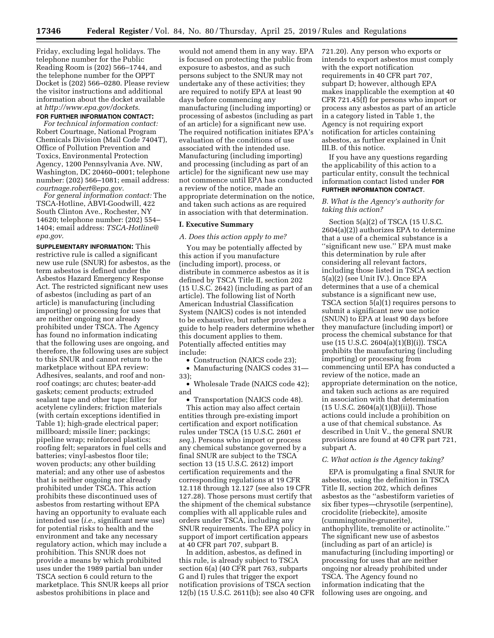Friday, excluding legal holidays. The telephone number for the Public Reading Room is (202) 566–1744, and the telephone number for the OPPT Docket is (202) 566–0280. Please review the visitor instructions and additional information about the docket available at *<http://www.epa.gov/dockets>*.

#### **FOR FURTHER INFORMATION CONTACT:**

*For technical information contact:*  Robert Courtnage, National Program Chemicals Division (Mail Code 7404T), Office of Pollution Prevention and Toxics, Environmental Protection Agency, 1200 Pennsylvania Ave. NW, Washington, DC 20460–0001; telephone number: (202) 566–1081; email address: *[courtnage.robert@epa.gov](mailto:courtnage.robert@epa.gov)*.

*For general information contact:* The TSCA-Hotline, ABVI-Goodwill, 422 South Clinton Ave., Rochester, NY 14620; telephone number: (202) 554– 1404; email address: *[TSCA-Hotline@](mailto:TSCA-Hotline@epa.gov) [epa.gov](mailto:TSCA-Hotline@epa.gov)*.

**SUPPLEMENTARY INFORMATION:** This restrictive rule is called a significant new use rule (SNUR) for asbestos, as the term asbestos is defined under the Asbestos Hazard Emergency Response Act. The restricted significant new uses of asbestos (including as part of an article) is manufacturing (including importing) or processing for uses that are neither ongoing nor already prohibited under TSCA. The Agency has found no information indicating that the following uses are ongoing, and therefore, the following uses are subject to this SNUR and cannot return to the marketplace without EPA review: Adhesives, sealants, and roof and nonroof coatings; arc chutes; beater-add gaskets; cement products; extruded sealant tape and other tape; filler for acetylene cylinders; friction materials (with certain exceptions identified in Table 1); high-grade electrical paper; millboard; missile liner; packings; pipeline wrap; reinforced plastics; roofing felt; separators in fuel cells and batteries; vinyl-asbestos floor tile; woven products; any other building material; and any other use of asbestos that is neither ongoing nor already prohibited under TSCA. This action prohibits these discontinued uses of asbestos from restarting without EPA having an opportunity to evaluate each intended use (*i.e.,* significant new use) for potential risks to health and the environment and take any necessary regulatory action, which may include a prohibition. This SNUR does not provide a means by which prohibited uses under the 1989 partial ban under TSCA section 6 could return to the marketplace. This SNUR keeps all prior asbestos prohibitions in place and

would not amend them in any way. EPA is focused on protecting the public from exposure to asbestos, and as such persons subject to the SNUR may not undertake any of these activities; they are required to notify EPA at least 90 days before commencing any manufacturing (including importing) or processing of asbestos (including as part of an article) for a significant new use. The required notification initiates EPA's evaluation of the conditions of use associated with the intended use. Manufacturing (including importing) and processing (including as part of an article) for the significant new use may not commence until EPA has conducted a review of the notice, made an appropriate determination on the notice, and taken such actions as are required in association with that determination.

# **I. Executive Summary**

#### *A. Does this action apply to me?*

You may be potentially affected by this action if you manufacture (including import), process, or distribute in commerce asbestos as it is defined by TSCA Title II, section 202 (15 U.S.C. 2642) (including as part of an article). The following list of North American Industrial Classification System (NAICS) codes is not intended to be exhaustive, but rather provides a guide to help readers determine whether this document applies to them. Potentially affected entities may include:

• Construction (NAICS code 23);

• Manufacturing (NAICS codes 31— 33);

• Wholesale Trade (NAICS code 42); and

• Transportation (NAICS code 48). This action may also affect certain entities through pre-existing import certification and export notification rules under TSCA (15 U.S.C. 2601 *et seq.*). Persons who import or process any chemical substance governed by a final SNUR are subject to the TSCA section 13 (15 U.S.C. 2612) import certification requirements and the corresponding regulations at 19 CFR 12.118 through 12.127 (see also 19 CFR 127.28). Those persons must certify that the shipment of the chemical substance complies with all applicable rules and orders under TSCA, including any SNUR requirements. The EPA policy in support of import certification appears at 40 CFR part 707, subpart B.

In addition, asbestos, as defined in this rule, is already subject to TSCA section 6(a) (40 CFR part 763, subparts G and I) rules that trigger the export notification provisions of TSCA section 12(b) (15 U.S.C. 2611(b); see also 40 CFR 721.20). Any person who exports or intends to export asbestos must comply with the export notification requirements in 40 CFR part 707, subpart D; however, although EPA makes inapplicable the exemption at 40 CFR 721.45(f) for persons who import or process any asbestos as part of an article in a category listed in Table 1, the Agency is not requiring export notification for articles containing asbestos, as further explained in Unit III.B. of this notice.

If you have any questions regarding the applicability of this action to a particular entity, consult the technical information contact listed under **FOR FURTHER INFORMATION CONTACT**.

# *B. What is the Agency's authority for taking this action?*

Section 5(a)(2) of TSCA (15 U.S.C. 2604(a)(2)) authorizes EPA to determine that a use of a chemical substance is a ''significant new use.'' EPA must make this determination by rule after considering all relevant factors, including those listed in TSCA section 5(a)(2) (see Unit IV.). Once EPA determines that a use of a chemical substance is a significant new use, TSCA section 5(a)(1) requires persons to submit a significant new use notice (SNUN) to EPA at least 90 days before they manufacture (including import) or process the chemical substance for that use (15 U.S.C. 2604(a)(1)(B)(i)). TSCA prohibits the manufacturing (including importing) or processing from commencing until EPA has conducted a review of the notice, made an appropriate determination on the notice, and taken such actions as are required in association with that determination  $(15 \text{ U.S.C. } 2604(a)(1)(B)(ii))$ . Those actions could include a prohibition on a use of that chemical substance. As described in Unit V., the general SNUR provisions are found at 40 CFR part 721, subpart A.

#### *C. What action is the Agency taking?*

EPA is promulgating a final SNUR for asbestos, using the definition in TSCA Title II, section 202, which defines asbestos as the ''asbestiform varieties of six fiber types—chrysotile (serpentine), crocidolite (riebeckite), amosite (cummingtonite-grunerite), anthophyllite, tremolite or actinolite.'' The significant new use of asbestos (including as part of an article) is manufacturing (including importing) or processing for uses that are neither ongoing nor already prohibited under TSCA. The Agency found no information indicating that the following uses are ongoing, and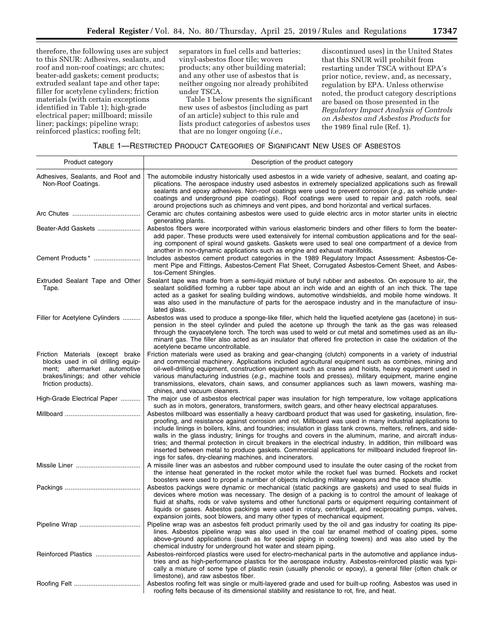therefore, the following uses are subject to this SNUR: Adhesives, sealants, and roof and non-roof coatings; arc chutes; beater-add gaskets; cement products; extruded sealant tape and other tape; filler for acetylene cylinders; friction materials (with certain exceptions identified in Table 1); high-grade electrical paper; millboard; missile liner; packings; pipeline wrap; reinforced plastics; roofing felt;

separators in fuel cells and batteries; vinyl-asbestos floor tile; woven products; any other building material; and any other use of asbestos that is neither ongoing nor already prohibited under TSCA.

Table 1 below presents the significant new uses of asbestos (including as part of an article) subject to this rule and lists product categories of asbestos uses that are no longer ongoing (*i.e.,* 

discontinued uses) in the United States that this SNUR will prohibit from restarting under TSCA without EPA's prior notice, review, and, as necessary, regulation by EPA. Unless otherwise noted, the product category descriptions are based on those presented in the *Regulatory Impact Analysis of Controls on Asbestos and Asbestos Products* for the 1989 final rule (Ref. 1).

| TABLE 1—RESTRICTED PRODUCT CATEGORIES OF SIGNIFICANT NEW USES OF ASBESTOS |  |  |  |
|---------------------------------------------------------------------------|--|--|--|
|---------------------------------------------------------------------------|--|--|--|

| Product category                                                                                                                                                      | Description of the product category                                                                                                                                                                                                                                                                                                                                                                                                                                                                                                                                                                                                                                                                                                              |
|-----------------------------------------------------------------------------------------------------------------------------------------------------------------------|--------------------------------------------------------------------------------------------------------------------------------------------------------------------------------------------------------------------------------------------------------------------------------------------------------------------------------------------------------------------------------------------------------------------------------------------------------------------------------------------------------------------------------------------------------------------------------------------------------------------------------------------------------------------------------------------------------------------------------------------------|
| Adhesives, Sealants, and Roof and<br>Non-Roof Coatings.                                                                                                               | The automobile industry historically used asbestos in a wide variety of adhesive, sealant, and coating ap-<br>plications. The aerospace industry used asbestos in extremely specialized applications such as firewall<br>sealants and epoxy adhesives. Non-roof coatings were used to prevent corrosion (e.g., as vehicle under-<br>coatings and underground pipe coatings). Roof coatings were used to repair and patch roofs, seal<br>around projections such as chimneys and vent pipes, and bond horizontal and vertical surfaces.                                                                                                                                                                                                           |
|                                                                                                                                                                       | Ceramic arc chutes containing asbestos were used to guide electric arcs in motor starter units in electric<br>generating plants.                                                                                                                                                                                                                                                                                                                                                                                                                                                                                                                                                                                                                 |
| Beater-Add Gaskets                                                                                                                                                    | Asbestos fibers were incorporated within various elastomeric binders and other fillers to form the beater-<br>add paper. These products were used extensively for internal combustion applications and for the seal-<br>ing component of spiral wound gaskets. Gaskets were used to seal one compartment of a device from<br>another in non-dynamic applications such as engine and exhaust manifolds.                                                                                                                                                                                                                                                                                                                                           |
| Cement Products*                                                                                                                                                      | Includes asbestos cement product categories in the 1989 Regulatory Impact Assessment: Asbestos-Ce-<br>ment Pipe and Fittings, Asbestos-Cement Flat Sheet, Corrugated Asbestos-Cement Sheet, and Asbes-<br>tos-Cement Shingles.                                                                                                                                                                                                                                                                                                                                                                                                                                                                                                                   |
| Extruded Sealant Tape and Other<br>Tape.                                                                                                                              | Sealant tape was made from a semi-liquid mixture of butyl rubber and asbestos. On exposure to air, the<br>sealant solidified forming a rubber tape about an inch wide and an eighth of an inch thick. The tape<br>acted as a gasket for sealing building windows, automotive windshields, and mobile home windows. It<br>was also used in the manufacture of parts for the aerospace industry and in the manufacture of insu-<br>lated glass.                                                                                                                                                                                                                                                                                                    |
| Filler for Acetylene Cylinders                                                                                                                                        | Asbestos was used to produce a sponge-like filler, which held the liquefied acetylene gas (acetone) in sus-<br>pension in the steel cylinder and puled the acetone up through the tank as the gas was released<br>through the oxyacetylene torch. The torch was used to weld or cut metal and sometimes used as an illu-<br>minant gas. The filler also acted as an insulator that offered fire protection in case the oxidation of the<br>acetylene became uncontrollable.                                                                                                                                                                                                                                                                      |
| Friction Materials (except brake<br>blocks used in oil drilling equip-<br>aftermarket automotive<br>ment;<br>brakes/linings; and other vehicle<br>friction products). | Friction materials were used as braking and gear-changing (clutch) components in a variety of industrial<br>and commercial machinery. Applications included agricultural equipment such as combines, mining and<br>oil-well-drilling equipment, construction equipment such as cranes and hoists, heavy equipment used in<br>various manufacturing industries (e.g., machine tools and presses), military equipment, marine engine<br>transmissions, elevators, chain saws, and consumer appliances such as lawn mowers, washing ma-<br>chines, and vacuum cleaners.                                                                                                                                                                             |
| High-Grade Electrical Paper                                                                                                                                           | The major use of asbestos electrical paper was insulation for high temperature, low voltage applications<br>such as in motors, generators, transformers, switch gears, and other heavy electrical apparatuses.                                                                                                                                                                                                                                                                                                                                                                                                                                                                                                                                   |
|                                                                                                                                                                       | Asbestos millboard was essentially a heavy cardboard product that was used for gasketing, insulation, fire-<br>proofing, and resistance against corrosion and rot. Millboard was used in many industrial applications to<br>include linings in boilers, kilns, and foundries; insulation in glass tank crowns, melters, refiners, and side-<br>walls in the glass industry; linings for troughs and covers in the aluminum, marine, and aircraft indus-<br>tries; and thermal protection in circuit breakers in the electrical industry. In addition, thin millboard was<br>inserted between metal to produce gaskets. Commercial applications for millboard included fireproof lin-<br>ings for safes, dry-cleaning machines, and incinerators. |
|                                                                                                                                                                       | A missile liner was an asbestos and rubber compound used to insulate the outer casing of the rocket from<br>the intense heat generated in the rocket motor while the rocket fuel was burned. Rockets and rocket<br>boosters were used to propel a number of objects including military weapons and the space shuttle.                                                                                                                                                                                                                                                                                                                                                                                                                            |
|                                                                                                                                                                       | Asbestos packings were dynamic or mechanical (static packings are gaskets) and used to seal fluids in<br>devices where motion was necessary. The design of a packing is to control the amount of leakage of<br>fluid at shafts, rods or valve systems and other functional parts or equipment requiring containment of<br>liquids or gases. Asbestos packings were used in rotary, centrifugal, and reciprocating pumps, valves,<br>expansion joints, soot blowers, and many other types of mechanical equipment.                                                                                                                                                                                                                                |
|                                                                                                                                                                       | Pipeline wrap was an asbestos felt product primarily used by the oil and gas industry for coating its pipe-<br>lines. Asbestos pipeline wrap was also used in the coal tar enamel method of coating pipes, some<br>above-ground applications (such as for special piping in cooling towers) and was also used by the<br>chemical industry for underground hot water and steam piping.                                                                                                                                                                                                                                                                                                                                                            |
| Reinforced Plastics                                                                                                                                                   | Asbestos-reinforced plastics were used for electro-mechanical parts in the automotive and appliance indus-<br>tries and as high-performance plastics for the aerospace industry. Asbestos-reinforced plastic was typi-<br>cally a mixture of some type of plastic resin (usually phenolic or epoxy), a general filler (often chalk or<br>limestone), and raw asbestos fiber.                                                                                                                                                                                                                                                                                                                                                                     |
|                                                                                                                                                                       | Asbestos roofing felt was single or multi-layered grade and used for built-up roofing. Asbestos was used in<br>roofing felts because of its dimensional stability and resistance to rot, fire, and heat.                                                                                                                                                                                                                                                                                                                                                                                                                                                                                                                                         |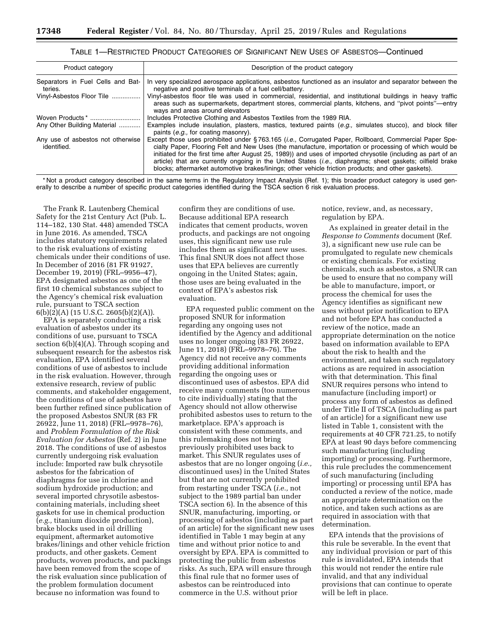# TABLE 1—RESTRICTED PRODUCT CATEGORIES OF SIGNIFICANT NEW USES OF ASBESTOS—Continued

| Product category                                 | Description of the product category                                                                                                                                                                                                                                                                                                                                                                                                                                                                                                                                   |
|--------------------------------------------------|-----------------------------------------------------------------------------------------------------------------------------------------------------------------------------------------------------------------------------------------------------------------------------------------------------------------------------------------------------------------------------------------------------------------------------------------------------------------------------------------------------------------------------------------------------------------------|
| Separators in Fuel Cells and Bat-<br>teries.     | In very specialized aerospace applications, asbestos functioned as an insulator and separator between the<br>negative and positive terminals of a fuel cell/battery.                                                                                                                                                                                                                                                                                                                                                                                                  |
| Vinyl-Asbestos Floor Tile                        | Vinyl-asbestos floor tile was used in commercial, residential, and institutional buildings in heavy traffic<br>areas such as supermarkets, department stores, commercial plants, kitchens, and "pivot points"—entry<br>ways and areas around elevators                                                                                                                                                                                                                                                                                                                |
|                                                  | Includes Protective Clothing and Asbestos Textiles from the 1989 RIA.                                                                                                                                                                                                                                                                                                                                                                                                                                                                                                 |
| Any Other Building Material                      | Examples include insulation, plasters, mastics, textured paints (e.g., simulates stucco), and block filler<br>paints (e.g., for coating masonry).                                                                                                                                                                                                                                                                                                                                                                                                                     |
| Any use of asbestos not otherwise<br>identified. | Except those uses prohibited under §763.165 ( <i>i.e.</i> , Corrugated Paper, Rollboard, Commercial Paper Spe-<br>cialty Paper, Flooring Felt and New Uses (the manufacture, importation or processing of which would be<br>initiated for the first time after August 25, 1989)) and uses of imported chrysotile (including as part of an<br>article) that are currently ongoing in the United States <i>(i.e.</i> , diaphragms; sheet gaskets; oilfield brake<br>blocks; aftermarket automotive brakes/linings; other vehicle friction products; and other gaskets). |

\* Not a product category described in the same terms in the Regulatory Impact Analysis (Ref. 1); this broader product category is used generally to describe a number of specific product categories identified during the TSCA section 6 risk evaluation process.

The Frank R. Lautenberg Chemical Safety for the 21st Century Act (Pub. L. 114–182, 130 Stat. 448) amended TSCA in June 2016. As amended, TSCA includes statutory requirements related to the risk evaluations of existing chemicals under their conditions of use. In December of 2016 (81 FR 91927, December 19, 2019) (FRL–9956–47), EPA designated asbestos as one of the first 10 chemical substances subject to the Agency's chemical risk evaluation rule, pursuant to TSCA section  $6(b)(2)(A)$  (15 U.S.C. 2605(b)(2)(A)).

EPA is separately conducting a risk evaluation of asbestos under its conditions of use, pursuant to TSCA section  $6(b)(4)(A)$ . Through scoping and subsequent research for the asbestos risk evaluation, EPA identified several conditions of use of asbestos to include in the risk evaluation. However, through extensive research, review of public comments, and stakeholder engagement, the conditions of use of asbestos have been further refined since publication of the proposed Asbestos SNUR (83 FR 26922, June 11, 2018) (FRL–9978–76), and *Problem Formulation of the Risk Evaluation for Asbestos* (Ref. 2) in June 2018. The conditions of use of asbestos currently undergoing risk evaluation include: Imported raw bulk chrysotile asbestos for the fabrication of diaphragms for use in chlorine and sodium hydroxide production; and several imported chrysotile asbestoscontaining materials, including sheet gaskets for use in chemical production (*e.g.,* titanium dioxide production), brake blocks used in oil drilling equipment, aftermarket automotive brakes/linings and other vehicle friction products, and other gaskets. Cement products, woven products, and packings have been removed from the scope of the risk evaluation since publication of the problem formulation document because no information was found to

confirm they are conditions of use. Because additional EPA research indicates that cement products, woven products, and packings are not ongoing uses, this significant new use rule includes them as significant new uses. This final SNUR does not affect those uses that EPA believes are currently ongoing in the United States; again, those uses are being evaluated in the context of EPA's asbestos risk evaluation.

EPA requested public comment on the proposed SNUR for information regarding any ongoing uses not identified by the Agency and additional uses no longer ongoing (83 FR 26922, June 11, 2018) (FRL–9978–76). The Agency did not receive any comments providing additional information regarding the ongoing uses or discontinued uses of asbestos. EPA did receive many comments (too numerous to cite individually) stating that the Agency should not allow otherwise prohibited asbestos uses to return to the marketplace. EPA's approach is consistent with these comments, and this rulemaking does not bring previously prohibited uses back to market. This SNUR regulates uses of asbestos that are no longer ongoing (*i.e.,*  discontinued uses) in the United States but that are not currently prohibited from restarting under TSCA (*i.e.,* not subject to the 1989 partial ban under TSCA section 6). In the absence of this SNUR, manufacturing, importing, or processing of asbestos (including as part of an article) for the significant new uses identified in Table 1 may begin at any time and without prior notice to and oversight by EPA. EPA is committed to protecting the public from asbestos risks. As such, EPA will ensure through this final rule that no former uses of asbestos can be reintroduced into commerce in the U.S. without prior

notice, review, and, as necessary, regulation by EPA.

As explained in greater detail in the *Response to Comments* document (Ref. 3), a significant new use rule can be promulgated to regulate new chemicals or existing chemicals. For existing chemicals, such as asbestos, a SNUR can be used to ensure that no company will be able to manufacture, import, or process the chemical for uses the Agency identifies as significant new uses without prior notification to EPA and not before EPA has conducted a review of the notice, made an appropriate determination on the notice based on information available to EPA about the risk to health and the environment, and taken such regulatory actions as are required in association with that determination. This final SNUR requires persons who intend to manufacture (including import) or process any form of asbestos as defined under Title II of TSCA (including as part of an article) for a significant new use listed in Table 1, consistent with the requirements at 40 CFR 721.25, to notify EPA at least 90 days before commencing such manufacturing (including importing) or processing. Furthermore, this rule precludes the commencement of such manufacturing (including importing) or processing until EPA has conducted a review of the notice, made an appropriate determination on the notice, and taken such actions as are required in association with that determination.

EPA intends that the provisions of this rule be severable. In the event that any individual provision or part of this rule is invalidated, EPA intends that this would not render the entire rule invalid, and that any individual provisions that can continue to operate will be left in place.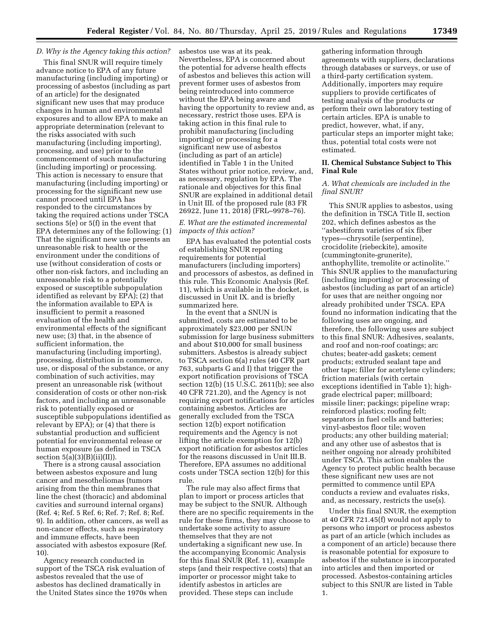# *D. Why is the Agency taking this action?*

This final SNUR will require timely advance notice to EPA of any future manufacturing (including importing) or processing of asbestos (including as part of an article) for the designated significant new uses that may produce changes in human and environmental exposures and to allow EPA to make an appropriate determination (relevant to the risks associated with such manufacturing (including importing), processing, and use) prior to the commencement of such manufacturing (including importing) or processing. This action is necessary to ensure that manufacturing (including importing) or processing for the significant new use cannot proceed until EPA has responded to the circumstances by taking the required actions under TSCA sections 5(e) or 5(f) in the event that EPA determines any of the following: (1) That the significant new use presents an unreasonable risk to health or the environment under the conditions of use (without consideration of costs or other non-risk factors, and including an unreasonable risk to a potentially exposed or susceptible subpopulation identified as relevant by EPA); (2) that the information available to EPA is insufficient to permit a reasoned evaluation of the health and environmental effects of the significant new use; (3) that, in the absence of sufficient information, the manufacturing (including importing), processing, distribution in commerce, use, or disposal of the substance, or any combination of such activities, may present an unreasonable risk (without consideration of costs or other non-risk factors, and including an unreasonable risk to potentially exposed or susceptible subpopulations identified as relevant by EPA); or (4) that there is substantial production and sufficient potential for environmental release or human exposure (as defined in TSCA section  $5(a)(3)(B)(ii)(II)$ .

There is a strong causal association between asbestos exposure and lung cancer and mesotheliomas (tumors arising from the thin membranes that line the chest (thoracic) and abdominal cavities and surround internal organs) (Ref. 4; Ref. 5 Ref. 6; Ref. 7; Ref. 8; Ref. 9). In addition, other cancers, as well as non-cancer effects, such as respiratory and immune effects, have been associated with asbestos exposure (Ref. 10).

Agency research conducted in support of the TSCA risk evaluation of asbestos revealed that the use of asbestos has declined dramatically in the United States since the 1970s when asbestos use was at its peak. Nevertheless, EPA is concerned about the potential for adverse health effects of asbestos and believes this action will prevent former uses of asbestos from being reintroduced into commerce without the EPA being aware and having the opportunity to review and, as necessary, restrict those uses. EPA is taking action in this final rule to prohibit manufacturing (including importing) or processing for a significant new use of asbestos (including as part of an article) identified in Table 1 in the United States without prior notice, review, and, as necessary, regulation by EPA. The rationale and objectives for this final SNUR are explained in additional detail in Unit III. of the proposed rule (83 FR 26922, June 11, 2018) (FRL–9978–76).

# *E. What are the estimated incremental impacts of this action?*

EPA has evaluated the potential costs of establishing SNUR reporting requirements for potential manufacturers (including importers) and processors of asbestos, as defined in this rule. This Economic Analysis (Ref. 11), which is available in the docket, is discussed in Unit IX. and is briefly summarized here.

In the event that a SNUN is submitted, costs are estimated to be approximately \$23,000 per SNUN submission for large business submitters and about \$10,000 for small business submitters. Asbestos is already subject to TSCA section 6(a) rules (40 CFR part 763, subparts G and I) that trigger the export notification provisions of TSCA section 12(b) (15 U.S.C. 2611(b); see also 40 CFR 721.20), and the Agency is not requiring export notifications for articles containing asbestos. Articles are generally excluded from the TSCA section 12(b) export notification requirements and the Agency is not lifting the article exemption for 12(b) export notification for asbestos articles for the reasons discussed in Unit III.B. Therefore, EPA assumes no additional costs under TSCA section 12(b) for this rule.

The rule may also affect firms that plan to import or process articles that may be subject to the SNUR. Although there are no specific requirements in the rule for these firms, they may choose to undertake some activity to assure themselves that they are not undertaking a significant new use. In the accompanying Economic Analysis for this final SNUR (Ref. 11), example steps (and their respective costs) that an importer or processor might take to identify asbestos in articles are provided. These steps can include

gathering information through agreements with suppliers, declarations through databases or surveys, or use of a third-party certification system. Additionally, importers may require suppliers to provide certificates of testing analysis of the products or perform their own laboratory testing of certain articles. EPA is unable to predict, however, what, if any, particular steps an importer might take; thus, potential total costs were not estimated.

# **II. Chemical Substance Subject to This Final Rule**

# *A. What chemicals are included in the final SNUR?*

This SNUR applies to asbestos, using the definition in TSCA Title II, section 202, which defines asbestos as the ''asbestiform varieties of six fiber types—chrysotile (serpentine), crocidolite (riebeckite), amosite (cummingtonite-grunerite), anthophyllite, tremolite or actinolite.'' This SNUR applies to the manufacturing (including importing) or processing of asbestos (including as part of an article) for uses that are neither ongoing nor already prohibited under TSCA. EPA found no information indicating that the following uses are ongoing, and therefore, the following uses are subject to this final SNUR: Adhesives, sealants, and roof and non-roof coatings; arc chutes; beater-add gaskets; cement products; extruded sealant tape and other tape; filler for acetylene cylinders; friction materials (with certain exceptions identified in Table 1); highgrade electrical paper; millboard; missile liner; packings; pipeline wrap; reinforced plastics; roofing felt; separators in fuel cells and batteries; vinyl-asbestos floor tile; woven products; any other building material; and any other use of asbestos that is neither ongoing nor already prohibited under TSCA. This action enables the Agency to protect public health because these significant new uses are not permitted to commence until EPA conducts a review and evaluates risks, and, as necessary, restricts the use(s).

Under this final SNUR, the exemption at 40 CFR 721.45(f) would not apply to persons who import or process asbestos as part of an article (which includes as a component of an article) because there is reasonable potential for exposure to asbestos if the substance is incorporated into articles and then imported or processed. Asbestos-containing articles subject to this SNUR are listed in Table 1.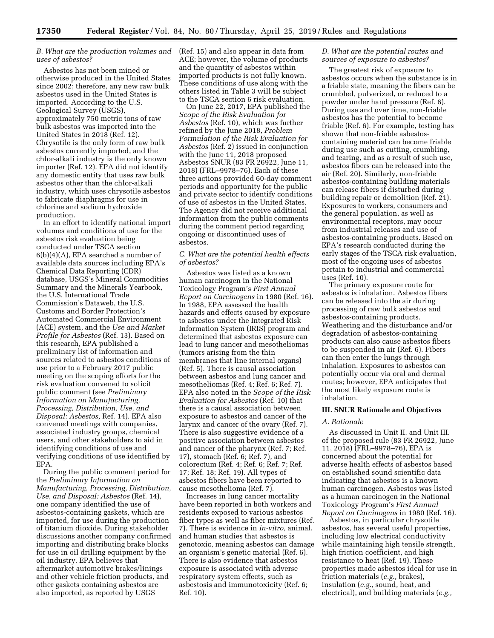# *B. What are the production volumes and uses of asbestos?*

Asbestos has not been mined or otherwise produced in the United States since 2002; therefore, any new raw bulk asbestos used in the United States is imported. According to the U.S. Geological Survey (USGS), approximately 750 metric tons of raw bulk asbestos was imported into the United States in 2018 (Ref. 12). Chrysotile is the only form of raw bulk asbestos currently imported, and the chlor-alkali industry is the only known importer (Ref. 12). EPA did not identify any domestic entity that uses raw bulk asbestos other than the chlor-alkali industry, which uses chrysotile asbestos to fabricate diaphragms for use in chlorine and sodium hydroxide production.

In an effort to identify national import volumes and conditions of use for the asbestos risk evaluation being conducted under TSCA section 6(b)(4)(A), EPA searched a number of available data sources including EPA's Chemical Data Reporting (CDR) database, USGS's Mineral Commodities Summary and the Minerals Yearbook, the U.S. International Trade Commission's Dataweb, the U.S. Customs and Border Protection's Automated Commercial Environment (ACE) system, and the *Use and Market Profile for Asbestos* (Ref. 13). Based on this research, EPA published a preliminary list of information and sources related to asbestos conditions of use prior to a February 2017 public meeting on the scoping efforts for the risk evaluation convened to solicit public comment (see *Preliminary Information on Manufacturing, Processing, Distribution, Use, and Disposal: Asbestos,* Ref. 14). EPA also convened meetings with companies, associated industry groups, chemical users, and other stakeholders to aid in identifying conditions of use and verifying conditions of use identified by EPA.

During the public comment period for the *Preliminary Information on Manufacturing, Processing, Distribution, Use, and Disposal: Asbestos* (Ref. 14), one company identified the use of asbestos-containing gaskets, which are imported, for use during the production of titanium dioxide. During stakeholder discussions another company confirmed importing and distributing brake blocks for use in oil drilling equipment by the oil industry. EPA believes that aftermarket automotive brakes/linings and other vehicle friction products, and other gaskets containing asbestos are also imported, as reported by USGS

(Ref. 15) and also appear in data from ACE; however, the volume of products and the quantity of asbestos within imported products is not fully known. These conditions of use along with the others listed in Table 3 will be subject to the TSCA section 6 risk evaluation.

On June 22, 2017, EPA published the *Scope of the Risk Evaluation for Asbestos* (Ref. 10), which was further refined by the June 2018, *Problem Formulation of the Risk Evaluation for Asbestos* (Ref. 2) issued in conjunction with the June 11, 2018 proposed Asbestos SNUR (83 FR 26922, June 11, 2018) (FRL–9978–76). Each of these three actions provided 60-day comment periods and opportunity for the public and private sector to identify conditions of use of asbestos in the United States. The Agency did not receive additional information from the public comments during the comment period regarding ongoing or discontinued uses of asbestos.

### *C. What are the potential health effects of asbestos?*

Asbestos was listed as a known human carcinogen in the National Toxicology Program's *First Annual Report on Carcinogens* in 1980 (Ref. 16). In 1988, EPA assessed the health hazards and effects caused by exposure to asbestos under the Integrated Risk Information System (IRIS) program and determined that asbestos exposure can lead to lung cancer and mesotheliomas (tumors arising from the thin membranes that line internal organs) (Ref. 5). There is causal association between asbestos and lung cancer and mesotheliomas (Ref. 4; Ref. 6; Ref. 7). EPA also noted in the *Scope of the Risk Evaluation for Asbestos* (Ref. 10) that there is a causal association between exposure to asbestos and cancer of the larynx and cancer of the ovary (Ref. 7). There is also suggestive evidence of a positive association between asbestos and cancer of the pharynx (Ref. 7; Ref. 17), stomach (Ref. 6; Ref. 7), and colorectum (Ref. 4; Ref. 6; Ref. 7; Ref. 17; Ref. 18; Ref. 19). All types of asbestos fibers have been reported to cause mesothelioma (Ref. 7).

Increases in lung cancer mortality have been reported in both workers and residents exposed to various asbestos fiber types as well as fiber mixtures (Ref. 7). There is evidence in *in-vitro,* animal, and human studies that asbestos is genotoxic, meaning asbestos can damage an organism's genetic material (Ref. 6). There is also evidence that asbestos exposure is associated with adverse respiratory system effects, such as asbestosis and immunotoxicity (Ref. 6; Ref. 10).

#### *D. What are the potential routes and sources of exposure to asbestos?*

The greatest risk of exposure to asbestos occurs when the substance is in a friable state, meaning the fibers can be crumbled, pulverized, or reduced to a powder under hand pressure (Ref. 6). During use and over time, non-friable asbestos has the potential to become friable (Ref. 6). For example, testing has shown that non-friable asbestoscontaining material can become friable during use such as cutting, crumbling, and tearing, and as a result of such use, asbestos fibers can be released into the air (Ref. 20). Similarly, non-friable asbestos-containing building materials can release fibers if disturbed during building repair or demolition (Ref. 21). Exposures to workers, consumers and the general population, as well as environmental receptors, may occur from industrial releases and use of asbestos-containing products. Based on EPA's research conducted during the early stages of the TSCA risk evaluation, most of the ongoing uses of asbestos pertain to industrial and commercial uses (Ref. 10).

The primary exposure route for asbestos is inhalation. Asbestos fibers can be released into the air during processing of raw bulk asbestos and asbestos-containing products. Weathering and the disturbance and/or degradation of asbestos-containing products can also cause asbestos fibers to be suspended in air (Ref. 6). Fibers can then enter the lungs through inhalation. Exposures to asbestos can potentially occur via oral and dermal routes; however, EPA anticipates that the most likely exposure route is inhalation.

#### **III. SNUR Rationale and Objectives**

#### *A. Rationale*

As discussed in Unit II. and Unit III. of the proposed rule (83 FR 26922, June 11, 2018) (FRL–9978–76), EPA is concerned about the potential for adverse health effects of asbestos based on established sound scientific data indicating that asbestos is a known human carcinogen. Asbestos was listed as a human carcinogen in the National Toxicology Program's *First Annual Report on Carcinogens* in 1980 (Ref. 16).

Asbestos, in particular chrysotile asbestos, has several useful properties, including low electrical conductivity while maintaining high tensile strength, high friction coefficient, and high resistance to heat (Ref. 19). These properties made asbestos ideal for use in friction materials (*e.g.,* brakes), insulation (*e.g.,* sound, heat, and electrical), and building materials (*e.g.,*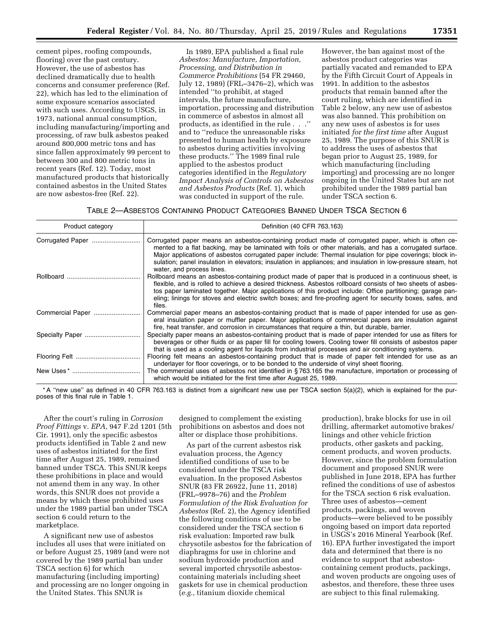cement pipes, roofing compounds, flooring) over the past century. However, the use of asbestos has declined dramatically due to health concerns and consumer preference (Ref. 22), which has led to the elimination of some exposure scenarios associated with such uses. According to USGS, in 1973, national annual consumption, including manufacturing/importing and processing, of raw bulk asbestos peaked around 800,000 metric tons and has since fallen approximately 99 percent to between 300 and 800 metric tons in recent years (Ref. 12). Today, most manufactured products that historically contained asbestos in the United States are now asbestos-free (Ref. 22).

In 1989, EPA published a final rule *Asbestos: Manufacture, Importation, Processing, and Distribution in Commerce Prohibitions* (54 FR 29460, July 12, 1989) (FRL–3476–2), which was intended ''to prohibit, at staged intervals, the future manufacture, importation, processing and distribution in commerce of asbestos in almost all products, as identified in the rule . . .'' and to ''reduce the unreasonable risks presented to human health by exposure to asbestos during activities involving these products.'' The 1989 final rule applied to the asbestos product categories identified in the *Regulatory Impact Analysis of Controls on Asbestos and Asbestos Products* (Ref. 1), which was conducted in support of the rule.

However, the ban against most of the asbestos product categories was partially vacated and remanded to EPA by the Fifth Circuit Court of Appeals in 1991. In addition to the asbestos products that remain banned after the court ruling, which are identified in Table 2 below, any new use of asbestos was also banned. This prohibition on any new uses of asbestos is for uses initiated *for the first time* after August 25, 1989. The purpose of this SNUR is to address the uses of asbestos that began prior to August 25, 1989, for which manufacturing (including importing) and processing are no longer ongoing in the United States but are not prohibited under the 1989 partial ban under TSCA section 6.

TABLE 2—ASBESTOS CONTAINING PRODUCT CATEGORIES BANNED UNDER TSCA SECTION 6

| Product category | Definition (40 CFR 763.163)                                                                                                                                                                                                                                                                                                                                                                                                                                             |  |
|------------------|-------------------------------------------------------------------------------------------------------------------------------------------------------------------------------------------------------------------------------------------------------------------------------------------------------------------------------------------------------------------------------------------------------------------------------------------------------------------------|--|
|                  | Corrugated paper means an asbestos-containing product made of corrugated paper, which is often ce-<br>mented to a flat backing, may be laminated with foils or other materials, and has a corrugated surface.<br>Major applications of asbestos corrugated paper include: Thermal insulation for pipe coverings; block in-<br>sulation; panel insulation in elevators; insulation in appliances; and insulation in low-pressure steam, hot<br>water, and process lines. |  |
|                  | Rollboard means an asbestos-containing product made of paper that is produced in a continuous sheet, is<br>flexible, and is rolled to achieve a desired thickness. Asbestos rollboard consists of two sheets of asbes-<br>tos paper laminated together. Major applications of this product include: Office partitioning; garage pan-<br>eling; linings for stoves and electric switch boxes; and fire-proofing agent for security boxes, safes, and<br>files.           |  |
| Commercial Paper | Commercial paper means an asbestos-containing product that is made of paper intended for use as gen-<br>eral insulation paper or muffler paper. Major applications of commercial papers are insulation against<br>fire, heat transfer, and corrosion in circumstances that require a thin, but durable, barrier.                                                                                                                                                        |  |
|                  | Specialty paper means an asbestos-containing product that is made of paper intended for use as filters for<br>beverages or other fluids or as paper fill for cooling towers. Cooling tower fill consists of asbestos paper<br>that is used as a cooling agent for liquids from industrial processes and air conditioning systems.                                                                                                                                       |  |
|                  | Flooring felt means an asbestos-containing product that is made of paper felt intended for use as an<br>underlayer for floor coverings, or to be bonded to the underside of vinyl sheet flooring.                                                                                                                                                                                                                                                                       |  |
|                  | The commercial uses of asbestos not identified in $\S$ 763.165 the manufacture, importation or processing of<br>which would be initiated for the first time after August 25, 1989.                                                                                                                                                                                                                                                                                      |  |

\* A ''new use'' as defined in 40 CFR 763.163 is distinct from a significant new use per TSCA section 5(a)(2), which is explained for the purposes of this final rule in Table 1.

After the court's ruling in *Corrosion Proof Fittings* v. *EPA,* 947 F.2d 1201 (5th Cir. 1991), only the specific asbestos products identified in Table 2 and new uses of asbestos initiated for the first time after August 25, 1989, remained banned under TSCA. This SNUR keeps these prohibitions in place and would not amend them in any way. In other words, this SNUR does not provide a means by which these prohibited uses under the 1989 partial ban under TSCA section 6 could return to the marketplace.

A significant new use of asbestos includes all uses that were initiated on or before August 25, 1989 (and were not covered by the 1989 partial ban under TSCA section 6) for which manufacturing (including importing) and processing are no longer ongoing in the United States. This SNUR is

designed to complement the existing prohibitions on asbestos and does not alter or displace those prohibitions.

As part of the current asbestos risk evaluation process, the Agency identified conditions of use to be considered under the TSCA risk evaluation. In the proposed Asbestos SNUR (83 FR 26922, June 11, 2018) (FRL–9978–76) and the *Problem Formulation of the Risk Evaluation for Asbestos* (Ref. 2), the Agency identified the following conditions of use to be considered under the TSCA section 6 risk evaluation: Imported raw bulk chrysotile asbestos for the fabrication of diaphragms for use in chlorine and sodium hydroxide production and several imported chrysotile asbestoscontaining materials including sheet gaskets for use in chemical production (*e.g.,* titanium dioxide chemical

production), brake blocks for use in oil drilling, aftermarket automotive brakes/ linings and other vehicle friction products, other gaskets and packing, cement products, and woven products. However, since the problem formulation document and proposed SNUR were published in June 2018, EPA has further refined the conditions of use of asbestos for the TSCA section 6 risk evaluation. Three uses of asbestos—cement products, packings, and woven products—were believed to be possibly ongoing based on import data reported in USGS's 2016 Mineral Yearbook (Ref. 16). EPA further investigated the import data and determined that there is no evidence to support that asbestoscontaining cement products, packings, and woven products are ongoing uses of asbestos, and therefore, these three uses are subject to this final rulemaking.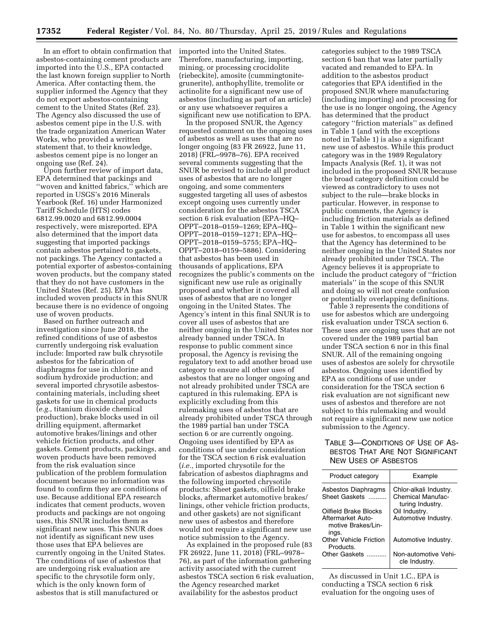In an effort to obtain confirmation that asbestos-containing cement products are imported into the U.S., EPA contacted the last known foreign supplier to North America. After contacting them, the supplier informed the Agency that they do not export asbestos-containing cement to the United States (Ref. 23). The Agency also discussed the use of asbestos cement pipe in the U.S. with the trade organization American Water Works, who provided a written statement that, to their knowledge, asbestos cement pipe is no longer an ongoing use (Ref. 24).

Upon further review of import data, EPA determined that packings and ''woven and knitted fabrics,'' which are reported in USGS's 2016 Minerals Yearbook (Ref. 16) under Harmonized Tariff Schedule (HTS) codes 6812.99.0020 and 6812.99.0004 respectively, were misreported. EPA also determined that the import data suggesting that imported packings contain asbestos pertained to gaskets, not packings. The Agency contacted a potential exporter of asbestos-containing woven products, but the company stated that they do not have customers in the United States (Ref. 25). EPA has included woven products in this SNUR because there is no evidence of ongoing use of woven products.

Based on further outreach and investigation since June 2018, the refined conditions of use of asbestos currently undergoing risk evaluation include: Imported raw bulk chrysotile asbestos for the fabrication of diaphragms for use in chlorine and sodium hydroxide production; and several imported chrysotile asbestoscontaining materials, including sheet gaskets for use in chemical products (*e.g.,* titanium dioxide chemical production), brake blocks used in oil drilling equipment, aftermarket automotive brakes/linings and other vehicle friction products, and other gaskets. Cement products, packings, and woven products have been removed from the risk evaluation since publication of the problem formulation document because no information was found to confirm they are conditions of use. Because additional EPA research indicates that cement products, woven products and packings are not ongoing uses, this SNUR includes them as significant new uses. This SNUR does not identify as significant new uses those uses that EPA believes are currently ongoing in the United States. The conditions of use of asbestos that are undergoing risk evaluation are specific to the chrysotile form only, which is the only known form of asbestos that is still manufactured or

imported into the United States. Therefore, manufacturing, importing, mining, or processing crocidolite (riebeckite), amosite (cummingtonitegrunerite), anthophyllite, tremolite or actinolite for a significant new use of asbestos (including as part of an article) or any use whatsoever requires a significant new use notification to EPA.

In the proposed SNUR, the Agency requested comment on the ongoing uses of asbestos as well as uses that are no longer ongoing (83 FR 26922, June 11, 2018) (FRL–9978–76). EPA received several comments suggesting that the SNUR be revised to include all product uses of asbestos that are no longer ongoing, and some commenters suggested targeting all uses of asbestos except ongoing uses currently under consideration for the asbestos TSCA section 6 risk evaluation (EPA–HQ– OPPT–2018–0159–1269; EPA–HQ– OPPT–2018–0159–1271; EPA–HQ– OPPT–2018–0159–5755; EPA–HQ– OPPT–2018–0159–5886). Considering that asbestos has been used in thousands of applications, EPA recognizes the public's comments on the significant new use rule as originally proposed and whether it covered all uses of asbestos that are no longer ongoing in the United States. The Agency's intent in this final SNUR is to cover all uses of asbestos that are neither ongoing in the United States nor already banned under TSCA. In response to public comment since proposal, the Agency is revising the regulatory text to add another broad use category to ensure all other uses of asbestos that are no longer ongoing and not already prohibited under TSCA are captured in this rulemaking. EPA is explicitly excluding from this rulemaking uses of asbestos that are already prohibited under TSCA through the 1989 partial ban under TSCA section 6 or are currently ongoing. Ongoing uses identified by EPA as conditions of use under consideration for the TSCA section 6 risk evaluation (*i.e.,* imported chrysotile for the fabrication of asbestos diaphragms and the following imported chrysotile products: Sheet gaskets, oilfield brake blocks, aftermarket automotive brakes/ linings, other vehicle friction products, and other gaskets) are not significant new uses of asbestos and therefore would not require a significant new use notice submission to the Agency.

As explained in the proposed rule (83 FR 26922, June 11, 2018) (FRL–9978– 76), as part of the information gathering activity associated with the current asbestos TSCA section 6 risk evaluation, the Agency researched market availability for the asbestos product

categories subject to the 1989 TSCA section 6 ban that was later partially vacated and remanded to EPA. In addition to the asbestos product categories that EPA identified in the proposed SNUR where manufacturing (including importing) and processing for the use is no longer ongoing, the Agency has determined that the product category ''friction materials'' as defined in Table 1 (and with the exceptions noted in Table 1) is also a significant new use of asbestos. While this product category was in the 1989 Regulatory Impacts Analysis (Ref. 1), it was not included in the proposed SNUR because the broad category definition could be viewed as contradictory to uses not subject to the rule—brake blocks in particular. However, in response to public comments, the Agency is including friction materials as defined in Table 1 within the significant new use for asbestos, to encompass all uses that the Agency has determined to be neither ongoing in the United States nor already prohibited under TSCA. The Agency believes it is appropriate to include the product category of ''friction materials'' in the scope of this SNUR and doing so will not create confusion or potentially overlapping definitions.

Table 3 represents the conditions of use for asbestos which are undergoing risk evaluation under TSCA section 6. These uses are ongoing uses that are not covered under the 1989 partial ban under TSCA section 6 nor in this final SNUR. All of the remaining ongoing uses of asbestos are solely for chrysotile asbestos. Ongoing uses identified by EPA as conditions of use under consideration for the TSCA section 6 risk evaluation are not significant new uses of asbestos and therefore are not subject to this rulemaking and would not require a significant new use notice submission to the Agency.

# TABLE 3—CONDITIONS OF USE OF AS-BESTOS THAT ARE NOT SIGNIFICANT NEW USES OF ASBESTOS

| Product category                                                          | Example                                                         |
|---------------------------------------------------------------------------|-----------------------------------------------------------------|
| Asbestos Diaphragms<br>Sheet Gaskets                                      | Chlor-alkali Industry.<br>Chemical Manufac-<br>turing Industry. |
| Oilfield Brake Blocks<br>Aftermarket Auto-<br>motive Brakes/Lin-<br>ings. | Oil Industry.<br>Automotive Industry.                           |
| <b>Other Vehicle Friction</b><br>Products.                                | Automotive Industry.                                            |
| Other Gaskets                                                             | Non-automotive Vehi-<br>cle Industry.                           |

As discussed in Unit 1.C., EPA is conducting a TSCA section 6 risk evaluation for the ongoing uses of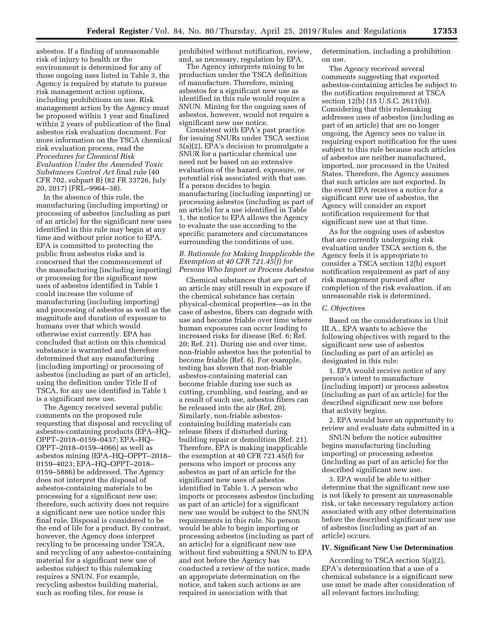asbestos. If a finding of unreasonable risk of injury to health or the environment is determined for any of those ongoing uses listed in Table 3, the Agency is required by statute to pursue risk management action options, including prohibitions on use. Risk management action by the Agency must be proposed within 1 year and finalized within 2 years of publication of the final asbestos risk evaluation document. For more information on the TSCA chemical risk evaluation process, read the *Procedures for Chemical Risk Evaluation Under the Amended Toxic Substances Control Act* final rule (40 CFR 702, subpart B) (82 FR 33726, July 20, 2017) (FRL–9964–38).

In the absence of this rule, the manufacturing (including importing) or processing of asbestos (including as part of an article) for the significant new uses identified in this rule may begin at any time and without prior notice to EPA. EPA is committed to protecting the public from asbestos risks and is concerned that the commencement of the manufacturing (including importing) or processing for the significant new uses of asbestos identified in Table 1 could increase the volume of manufacturing (including importing) and processing of asbestos as well as the magnitude and duration of exposure to humans over that which would otherwise exist currently. EPA has concluded that action on this chemical substance is warranted and therefore determined that any manufacturing (including importing) or processing of asbestos (including as part of an article), using the definition under Title II of TSCA, for any use identified in Table 1 is a significant new use.

The Agency received several public comments on the proposed rule requesting that disposal and recycling of asbestos-containing products (EPA–HQ– OPPT–2018–0159–0437; EPA–HQ– OPPT–2018–0159–4066) as well as asbestos mining (EPA–HQ–OPPT–2018– 0159–4023; EPA–HQ–OPPT–2018– 0159–5886) be addressed. The Agency does not interpret the disposal of asbestos-containing materials to be processing for a significant new use; therefore, such activity does not require a significant new use notice under this final rule. Disposal is considered to be the end of life for a product. By contrast, however, the Agency does interpret recyling to be processing under TSCA, and recycling of any asbestos-containing material for a significant new use of asbestos subject to this rulemaking requires a SNUN. For example, recycling asbestos building material, such as roofing tiles, for reuse is

prohibited without notification, review, and, as necessary, regulation by EPA.

The Agency interprets mining to be production under the TSCA definition of manufacture. Therefore, mining asbestos for a significant new use as identified in this rule would require a SNUN. Mining for the ongoing uses of asbestos, however, would not require a significant new use notice.

Consistent with EPA's past practice for issuing SNURs under TSCA section 5(a)(2), EPA's decision to promulgate a SNUR for a particular chemical use need not be based on an extensive evaluation of the hazard, exposure, or potential risk associated with that use. If a person decides to begin manufacturing (including importing) or processing asbestos (including as part of an article) for a use identified in Table 1, the notice to EPA allows the Agency to evaluate the use according to the specific parameters and circumstances surrounding the conditions of use.

# *B. Rationale for Making Inapplicable the Exemption at 40 CFR 721.45(f) for Persons Who Import or Process Asbestos*

Chemical substances that are part of an article may still result in exposure if the chemical substance has certain physical-chemical properties—as in the case of asbestos, fibers can degrade with use and become friable over time where human exposures can occur leading to increased risks for disease (Ref. 6; Ref. 20; Ref. 21). During use and over time, non-friable asbestos has the potential to become friable (Ref. 6). For example, testing has shown that non-friable asbestos-containing material can become friable during use such as cutting, crumbling, and tearing, and as a result of such use, asbestos fibers can be released into the air (Ref. 20). Similarly, non-friable asbestoscontaining building materials can release fibers if disturbed during building repair or demolition (Ref. 21). Therefore, EPA is making inapplicable the exemption at 40 CFR 721.45(f) for persons who import or process any asbestos as part of an article for the significant new uses of asbestos identified in Table 1. A person who imports or processes asbestos (including as part of an article) for a significant new use would be subject to the SNUN requirements in this rule. No person would be able to begin importing or processing asbestos (including as part of an article) for a significant new use without first submitting a SNUN to EPA and not before the Agency has conducted a review of the notice, made an appropriate determination on the notice, and taken such actions as are required in association with that

determination, including a prohibition on use.

The Agency received several comments suggesting that exported asbestos-containing articles be subject to the notification requirement at TSCA section 12(b) (15 U.S.C. 2611(b)). Considering that this rulemaking addresses uses of asbestos (including as part of an article) that are no longer ongoing, the Agency sees no value in requiring export notification for the uses subject to this rule because such articles of asbestos are neither manufactured, imported, nor processed in the United States. Therefore, the Agency assumes that such articles are not exported. In the event EPA receives a notice for a significant new use of asbestos, the Agency will consider an export notification requirement for that significant new use at that time.

As for the ongoing uses of asbestos that are currently undergoing risk evaluation under TSCA section 6, the Agency feels it is appropriate to consider a TSCA section 12(b) export notification requirement as part of any risk management pursued after completion of the risk evaluation, if an unreasonable risk is determined.

#### *C. Objectives*

Based on the considerations in Unit III.A., EPA wants to achieve the following objectives with regard to the significant new use of asbestos (including as part of an article) as designated in this rule:

1. EPA would receive notice of any person's intent to manufacture (including import) or process asbestos (including as part of an article) for the described significant new use before that activity begins.

2. EPA would have an opportunity to review and evaluate data submitted in a

SNUN before the notice submitter begins manufacturing (including importing) or processing asbestos (including as part of an article) for the described significant new use.

3. EPA would be able to either determine that the significant new use is not likely to present an unreasonable risk, or take necessary regulatory action associated with any other determination before the described significant new use of asbestos (including as part of an article) occurs.

# **IV. Significant New Use Determination**

According to TSCA section 5(a)(2), EPA's determination that a use of a chemical substance is a significant new use must be made after consideration of all relevant factors including: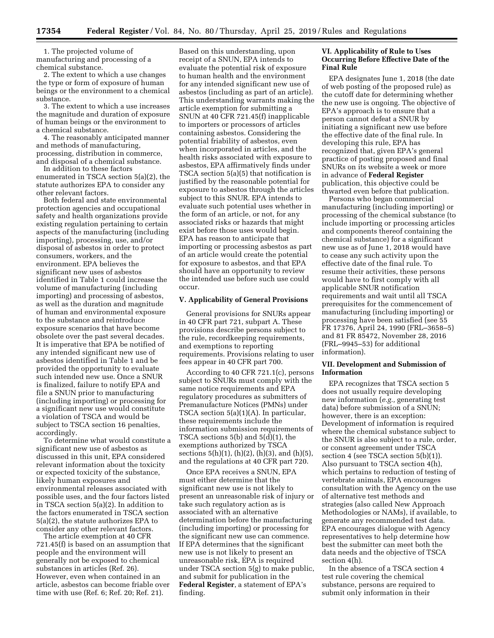1. The projected volume of manufacturing and processing of a chemical substance.

2. The extent to which a use changes the type or form of exposure of human beings or the environment to a chemical substance.

3. The extent to which a use increases the magnitude and duration of exposure of human beings or the environment to a chemical substance.

4. The reasonably anticipated manner and methods of manufacturing, processing, distribution in commerce, and disposal of a chemical substance.

In addition to these factors enumerated in TSCA section 5(a)(2), the statute authorizes EPA to consider any other relevant factors.

Both federal and state environmental protection agencies and occupational safety and health organizations provide existing regulation pertaining to certain aspects of the manufacturing (including importing), processing, use, and/or disposal of asbestos in order to protect consumers, workers, and the environment. EPA believes the significant new uses of asbestos identified in Table 1 could increase the volume of manufacturing (including importing) and processing of asbestos, as well as the duration and magnitude of human and environmental exposure to the substance and reintroduce exposure scenarios that have become obsolete over the past several decades. It is imperative that EPA be notified of any intended significant new use of asbestos identified in Table 1 and be provided the opportunity to evaluate such intended new use. Once a SNUR is finalized, failure to notify EPA and file a SNUN prior to manufacturing (including importing) or processing for a significant new use would constitute a violation of TSCA and would be subject to TSCA section 16 penalties, accordingly.

To determine what would constitute a significant new use of asbestos as discussed in this unit, EPA considered relevant information about the toxicity or expected toxicity of the substance, likely human exposures and environmental releases associated with possible uses, and the four factors listed in TSCA section 5(a)(2). In addition to the factors enumerated in TSCA section 5(a)(2), the statute authorizes EPA to consider any other relevant factors.

The article exemption at 40 CFR 721.45(f) is based on an assumption that people and the environment will generally not be exposed to chemical substances in articles (Ref. 26). However, even when contained in an article, asbestos can become friable over time with use (Ref. 6; Ref. 20; Ref. 21).

Based on this understanding, upon receipt of a SNUN, EPA intends to evaluate the potential risk of exposure to human health and the environment for any intended significant new use of asbestos (including as part of an article). This understanding warrants making the article exemption for submitting a SNUN at 40 CFR 721.45(f) inapplicable to importers or processors of articles containing asbestos. Considering the potential friability of asbestos, even when incorporated in articles, and the health risks associated with exposure to asbestos, EPA affirmatively finds under TSCA section 5(a)(5) that notification is justified by the reasonable potential for exposure to asbestos through the articles subject to this SNUR. EPA intends to evaluate such potential uses whether in the form of an article, or not, for any associated risks or hazards that might exist before those uses would begin. EPA has reason to anticipate that importing or processing asbestos as part of an article would create the potential for exposure to asbestos, and that EPA should have an opportunity to review the intended use before such use could occur.

#### **V. Applicability of General Provisions**

General provisions for SNURs appear in 40 CFR part 721, subpart A. These provisions describe persons subject to the rule, recordkeeping requirements, and exemptions to reporting requirements. Provisions relating to user fees appear in 40 CFR part 700.

According to 40 CFR 721.1(c), persons subject to SNURs must comply with the same notice requirements and EPA regulatory procedures as submitters of Premanufacture Notices (PMNs) under TSCA section 5(a)(1)(A). In particular, these requirements include the information submission requirements of TSCA sections 5(b) and 5(d)(1), the exemptions authorized by TSCA sections  $5(h)(1)$ ,  $(h)(2)$ ,  $(h)(3)$ , and  $(h)(5)$ , and the regulations at 40 CFR part 720.

Once EPA receives a SNUN, EPA must either determine that the significant new use is not likely to present an unreasonable risk of injury or take such regulatory action as is associated with an alternative determination before the manufacturing (including importing) or processing for the significant new use can commence. If EPA determines that the significant new use is not likely to present an unreasonable risk, EPA is required under TSCA section 5(g) to make public, and submit for publication in the **Federal Register**, a statement of EPA's finding.

# **VI. Applicability of Rule to Uses Occurring Before Effective Date of the Final Rule**

EPA designates June 1, 2018 (the date of web posting of the proposed rule) as the cutoff date for determining whether the new use is ongoing. The objective of EPA's approach is to ensure that a person cannot defeat a SNUR by initiating a significant new use before the effective date of the final rule. In developing this rule, EPA has recognized that, given EPA's general practice of posting proposed and final SNURs on its website a week or more in advance of **Federal Register**  publication, this objective could be thwarted even before that publication.

Persons who began commercial manufacturing (including importing) or processing of the chemical substance (to include importing or processing articles and components thereof containing the chemical substance) for a significant new use as of June 1, 2018 would have to cease any such activity upon the effective date of the final rule. To resume their activities, these persons would have to first comply with all applicable SNUR notification requirements and wait until all TSCA prerequisites for the commencement of manufacturing (including importing) or processing have been satisfied (see 55 FR 17376, April 24, 1990 (FRL–3658–5) and 81 FR 85472, November 28, 2016 (FRL–9945–53) for additional information).

### **VII. Development and Submission of Information**

EPA recognizes that TSCA section 5 does not usually require developing new information (*e.g.,* generating test data) before submission of a SNUN; however, there is an exception: Development of information is required where the chemical substance subject to the SNUR is also subject to a rule, order, or consent agreement under TSCA section 4 (see TSCA section 5(b)(1)). Also pursuant to TSCA section 4(h), which pertains to reduction of testing of vertebrate animals, EPA encourages consultation with the Agency on the use of alternative test methods and strategies (also called New Approach Methodologies or NAMs), if available, to generate any recommended test data. EPA encourages dialogue with Agency representatives to help determine how best the submitter can meet both the data needs and the objective of TSCA section 4(h).

In the absence of a TSCA section 4 test rule covering the chemical substance, persons are required to submit only information in their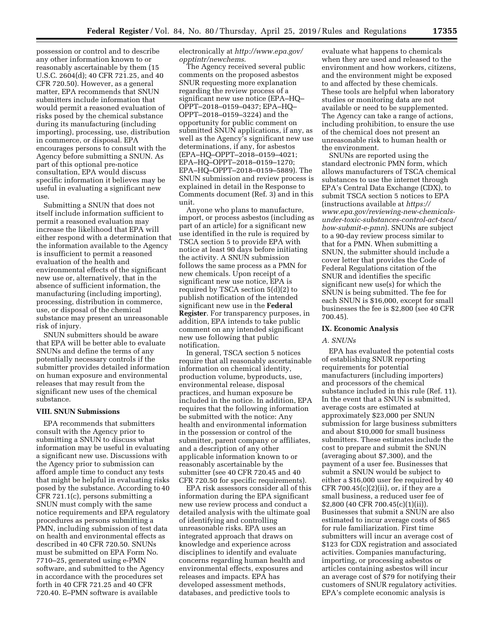possession or control and to describe any other information known to or reasonably ascertainable by them (15 U.S.C. 2604(d); 40 CFR 721.25, and 40 CFR 720.50). However, as a general matter, EPA recommends that SNUN submitters include information that would permit a reasoned evaluation of risks posed by the chemical substance during its manufacturing (including importing), processing, use, distribution in commerce, or disposal. EPA encourages persons to consult with the Agency before submitting a SNUN. As part of this optional pre-notice consultation, EPA would discuss specific information it believes may be useful in evaluating a significant new use.

Submitting a SNUN that does not itself include information sufficient to permit a reasoned evaluation may increase the likelihood that EPA will either respond with a determination that the information available to the Agency is insufficient to permit a reasoned evaluation of the health and environmental effects of the significant new use or, alternatively, that in the absence of sufficient information, the manufacturing (including importing), processing, distribution in commerce, use, or disposal of the chemical substance may present an unreasonable risk of injury.

SNUN submitters should be aware that EPA will be better able to evaluate SNUNs and define the terms of any potentially necessary controls if the submitter provides detailed information on human exposure and environmental releases that may result from the significant new uses of the chemical substance.

# **VIII. SNUN Submissions**

EPA recommends that submitters consult with the Agency prior to submitting a SNUN to discuss what information may be useful in evaluating a significant new use. Discussions with the Agency prior to submission can afford ample time to conduct any tests that might be helpful in evaluating risks posed by the substance. According to 40 CFR 721.1(c), persons submitting a SNUN must comply with the same notice requirements and EPA regulatory procedures as persons submitting a PMN, including submission of test data on health and environmental effects as described in 40 CFR 720.50. SNUNs must be submitted on EPA Form No. 7710–25, generated using e-PMN software, and submitted to the Agency in accordance with the procedures set forth in 40 CFR 721.25 and 40 CFR 720.40. E–PMN software is available

electronically at *[http://www.epa.gov/](http://www.epa.gov/opptintr/newchems)  [opptintr/newchems](http://www.epa.gov/opptintr/newchems)*.

The Agency received several public comments on the proposed asbestos SNUR requesting more explanation regarding the review process of a significant new use notice (EPA–HQ– OPPT–2018–0159–0437; EPA–HQ– OPPT–2018–0159–3224) and the opportunity for public comment on submitted SNUN applications, if any, as well as the Agency's significant new use determinations, if any, for asbestos (EPA–HQ–OPPT–2018–0159–4021; EPA–HQ–OPPT–2018–0159–1270; EPA–HQ–OPPT–2018–0159–5889). The SNUN submission and review process is explained in detail in the Response to Comments document (Ref. 3) and in this unit.

Anyone who plans to manufacture, import, or process asbestos (including as part of an article) for a significant new use identified in the rule is required by TSCA section 5 to provide EPA with notice at least 90 days before initiating the activity. A SNUN submission follows the same process as a PMN for new chemicals. Upon receipt of a significant new use notice, EPA is required by TSCA section 5(d)(2) to publish notification of the intended significant new use in the **Federal Register**. For transparency purposes, in addition, EPA intends to take public comment on any intended significant new use following that public notification.

In general, TSCA section 5 notices require that all reasonably ascertainable information on chemical identity, production volume, byproducts, use, environmental release, disposal practices, and human exposure be included in the notice. In addition, EPA requires that the following information be submitted with the notice: Any health and environmental information in the possession or control of the submitter, parent company or affiliates, and a description of any other applicable information known to or reasonably ascertainable by the submitter (see 40 CFR 720.45 and 40 CFR 720.50 for specific requirements).

EPA risk assessors consider all of this information during the EPA significant new use review process and conduct a detailed analysis with the ultimate goal of identifying and controlling unreasonable risks. EPA uses an integrated approach that draws on knowledge and experience across disciplines to identify and evaluate concerns regarding human health and environmental effects, exposures and releases and impacts. EPA has developed assessment methods, databases, and predictive tools to

evaluate what happens to chemicals when they are used and released to the environment and how workers, citizens, and the environment might be exposed to and affected by these chemicals. These tools are helpful when laboratory studies or monitoring data are not available or need to be supplemented. The Agency can take a range of actions, including prohibition, to ensure the use of the chemical does not present an unreasonable risk to human health or the environment.

SNUNs are reported using the standard electronic PMN form, which allows manufacturers of TSCA chemical substances to use the internet through EPA's Central Data Exchange (CDX), to submit TSCA section 5 notices to EPA (instructions available at *[https://](https://www.epa.gov/reviewing-new-chemicals-under-toxic-substances-control-act-tsca/how-submit-e-pmn) [www.epa.gov/reviewing-new-chemicals](https://www.epa.gov/reviewing-new-chemicals-under-toxic-substances-control-act-tsca/how-submit-e-pmn)[under-toxic-substances-control-act-tsca/](https://www.epa.gov/reviewing-new-chemicals-under-toxic-substances-control-act-tsca/how-submit-e-pmn)  [how-submit-e-pmn](https://www.epa.gov/reviewing-new-chemicals-under-toxic-substances-control-act-tsca/how-submit-e-pmn)*). SNUNs are subject to a 90-day review process similar to that for a PMN. When submitting a SNUN, the submitter should include a cover letter that provides the Code of Federal Regulations citation of the SNUR and identifies the specific significant new use(s) for which the SNUN is being submitted. The fee for each SNUN is \$16,000, except for small businesses the fee is \$2,800 (see 40 CFR 700.45).

#### **IX. Economic Analysis**

# *A. SNUNs*

EPA has evaluated the potential costs of establishing SNUR reporting requirements for potential manufacturers (including importers) and processors of the chemical substance included in this rule (Ref. 11). In the event that a SNUN is submitted, average costs are estimated at approximately \$23,000 per SNUN submission for large business submitters and about \$10,000 for small business submitters. These estimates include the cost to prepare and submit the SNUN (averaging about \$7,300), and the payment of a user fee. Businesses that submit a SNUN would be subject to either a \$16,000 user fee required by 40 CFR 700.45 $(c)(2)(ii)$ , or, if they are a small business, a reduced user fee of \$2,800 (40 CFR 700.45(c)(1)(ii)). Businesses that submit a SNUN are also estimated to incur average costs of \$65 for rule familiarization. First time submitters will incur an average cost of \$123 for CDX registration and associated activities. Companies manufacturing, importing, or processing asbestos or articles containing asbestos will incur an average cost of \$79 for notifying their customers of SNUR regulatory activities. EPA's complete economic analysis is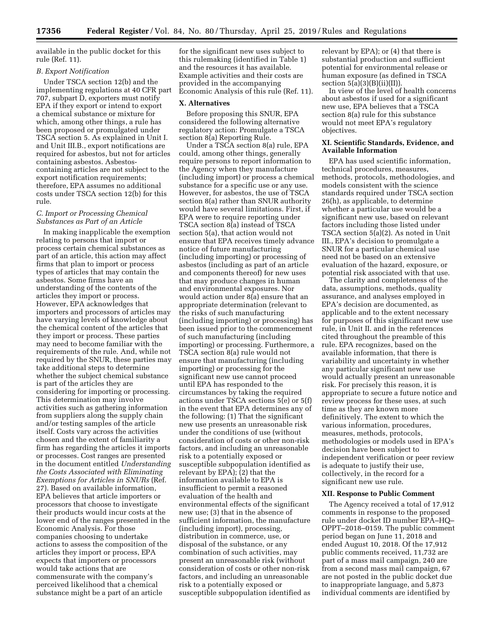available in the public docket for this rule (Ref. 11).

## *B. Export Notification*

Under TSCA section 12(b) and the implementing regulations at 40 CFR part 707, subpart D, exporters must notify EPA if they export or intend to export a chemical substance or mixture for which, among other things, a rule has been proposed or promulgated under TSCA section 5. As explained in Unit I. and Unit III.B., export notifications are required for asbestos, but not for articles containing asbestos. Asbestoscontaining articles are not subject to the export notification requirements; therefore, EPA assumes no additional costs under TSCA section 12(b) for this rule.

# *C. Import or Processing Chemical Substances as Part of an Article*

In making inapplicable the exemption relating to persons that import or process certain chemical substances as part of an article, this action may affect firms that plan to import or process types of articles that may contain the asbestos. Some firms have an understanding of the contents of the articles they import or process. However, EPA acknowledges that importers and processors of articles may have varying levels of knowledge about the chemical content of the articles that they import or process. These parties may need to become familiar with the requirements of the rule. And, while not required by the SNUR, these parties may take additional steps to determine whether the subject chemical substance is part of the articles they are considering for importing or processing. This determination may involve activities such as gathering information from suppliers along the supply chain and/or testing samples of the article itself. Costs vary across the activities chosen and the extent of familiarity a firm has regarding the articles it imports or processes. Cost ranges are presented in the document entitled *Understanding the Costs Associated with Eliminating Exemptions for Articles in SNURs* (Ref. 27). Based on available information, EPA believes that article importers or processors that choose to investigate their products would incur costs at the lower end of the ranges presented in the Economic Analysis. For those companies choosing to undertake actions to assess the composition of the articles they import or process, EPA expects that importers or processors would take actions that are commensurate with the company's perceived likelihood that a chemical substance might be a part of an article

for the significant new uses subject to this rulemaking (identified in Table 1) and the resources it has available. Example activities and their costs are provided in the accompanying Economic Analysis of this rule (Ref. 11).

#### **X. Alternatives**

Before proposing this SNUR, EPA considered the following alternative regulatory action: Promulgate a TSCA section 8(a) Reporting Rule.

Under a TSCA section 8(a) rule, EPA could, among other things, generally require persons to report information to the Agency when they manufacture (including import) or process a chemical substance for a specific use or any use. However, for asbestos, the use of TSCA section 8(a) rather than SNUR authority would have several limitations. First, if EPA were to require reporting under TSCA section 8(a) instead of TSCA section 5(a), that action would not ensure that EPA receives timely advance notice of future manufacturing (including importing) or processing of asbestos (including as part of an article and components thereof) for new uses that may produce changes in human and environmental exposures. Nor would action under 8(a) ensure that an appropriate determination (relevant to the risks of such manufacturing (including importing) or processing) has been issued prior to the commencement of such manufacturing (including importing) or processing. Furthermore, a TSCA section 8(a) rule would not ensure that manufacturing (including importing) or processing for the significant new use cannot proceed until EPA has responded to the circumstances by taking the required actions under TSCA sections 5(e) or 5(f) in the event that EPA determines any of the following: (1) That the significant new use presents an unreasonable risk under the conditions of use (without consideration of costs or other non-risk factors, and including an unreasonable risk to a potentially exposed or susceptible subpopulation identified as relevant by EPA); (2) that the information available to EPA is insufficient to permit a reasoned evaluation of the health and environmental effects of the significant new use; (3) that in the absence of sufficient information, the manufacture (including import), processing, distribution in commerce, use, or disposal of the substance, or any combination of such activities, may present an unreasonable risk (without consideration of costs or other non-risk factors, and including an unreasonable risk to a potentially exposed or susceptible subpopulation identified as

relevant by EPA); or (4) that there is substantial production and sufficient potential for environmental release or human exposure (as defined in TSCA section  $5(a)(3)(B)(ii)(II)$ .

In view of the level of health concerns about asbestos if used for a significant new use, EPA believes that a TSCA section 8(a) rule for this substance would not meet EPA's regulatory objectives.

# **XI. Scientific Standards, Evidence, and Available Information**

EPA has used scientific information, technical procedures, measures, methods, protocols, methodologies, and models consistent with the science standards required under TSCA section 26(h), as applicable, to determine whether a particular use would be a significant new use, based on relevant factors including those listed under TSCA section 5(a)(2). As noted in Unit III., EPA's decision to promulgate a SNUR for a particular chemical use need not be based on an extensive evaluation of the hazard, exposure, or potential risk associated with that use.

The clarity and completeness of the data, assumptions, methods, quality assurance, and analyses employed in EPA's decision are documented, as applicable and to the extent necessary for purposes of this significant new use rule, in Unit II. and in the references cited throughout the preamble of this rule. EPA recognizes, based on the available information, that there is variability and uncertainty in whether any particular significant new use would actually present an unreasonable risk. For precisely this reason, it is appropriate to secure a future notice and review process for these uses, at such time as they are known more definitively. The extent to which the various information, procedures, measures, methods, protocols, methodologies or models used in EPA's decision have been subject to independent verification or peer review is adequate to justify their use, collectively, in the record for a significant new use rule.

### **XII. Response to Public Comment**

The Agency received a total of 17,912 comments in response to the proposed rule under docket ID number EPA–HQ– OPPT–2018–0159. The public comment period began on June 11, 2018 and ended August 10, 2018. Of the 17,912 public comments received, 11,732 are part of a mass mail campaign, 240 are from a second mass mail campaign, 67 are not posted in the public docket due to inappropriate language, and 5,873 individual comments are identified by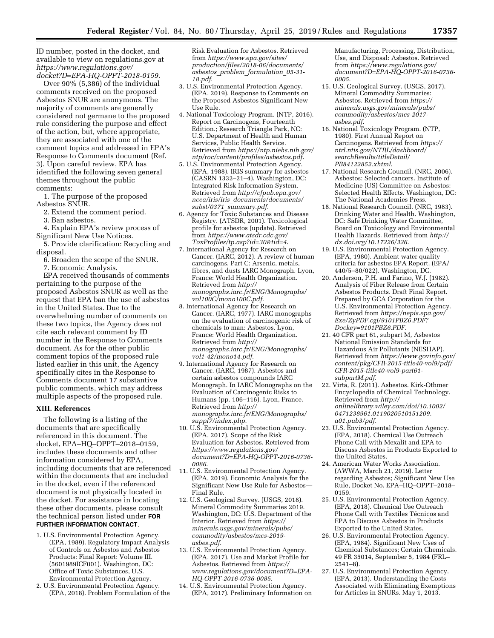ID number, posted in the docket, and available to view on regulations.gov at *[https://www.regulations.gov/](https://www.regulations.gov/docket?D=EPA-HQ-OPPT-2018-0159)  [docket?D=EPA-HQ-OPPT-2018-0159](https://www.regulations.gov/docket?D=EPA-HQ-OPPT-2018-0159)*.

Over 90% (5,386) of the individual comments received on the proposed Asbestos SNUR are anonymous. The majority of comments are generally considered not germane to the proposed rule considering the purpose and effect of the action, but, where appropriate, they are associated with one of the comment topics and addressed in EPA's Response to Comments document (Ref. 3). Upon careful review, EPA has identified the following seven general themes throughout the public comments:

1. The purpose of the proposed Asbestos SNUR.

2. Extend the comment period.

3. Ban asbestos.

4. Explain EPA's review process of Significant New Use Notices.

5. Provide clarification: Recycling and disposal.

6. Broaden the scope of the SNUR.

7. Economic Analysis.

EPA received thousands of comments pertaining to the purpose of the proposed Asbestos SNUR as well as the request that EPA ban the use of asbestos in the United States. Due to the overwhelming number of comments on these two topics, the Agency does not cite each relevant comment by ID number in the Response to Comments document. As for the other public comment topics of the proposed rule listed earlier in this unit, the Agency specifically cites in the Response to Comments document 17 substantive public comments, which may address multiple aspects of the proposed rule.

# **XIII. References**

The following is a listing of the documents that are specifically referenced in this document. The docket, EPA–HQ–OPPT–2018–0159, includes these documents and other information considered by EPA, including documents that are referenced within the documents that are included in the docket, even if the referenced document is not physically located in the docket. For assistance in locating these other documents, please consult the technical person listed under **FOR FURTHER INFORMATION CONTACT**.

- 1. U.S. Environmental Protection Agency. (EPA, 1989). Regulatory Impact Analysis of Controls on Asbestos and Asbestos Products: Final Report: Volume III. (5601989ICF001). Washington, DC: Office of Toxic Substances, U.S. Environmental Protection Agency.
- 2. U.S. Environmental Protection Agency. (EPA, 2018). Problem Formulation of the

Risk Evaluation for Asbestos. Retrieved from *[https://www.epa.gov/sites/](https://www.epa.gov/sites/production/files/2018-06/documents/asbestos_problem_formulation_05-31-18.pdf)  [production/files/2018-06/documents/](https://www.epa.gov/sites/production/files/2018-06/documents/asbestos_problem_formulation_05-31-18.pdf) asbestos*\_*problem*\_*[formulation](https://www.epa.gov/sites/production/files/2018-06/documents/asbestos_problem_formulation_05-31-18.pdf)*\_*05-31- [18.pdf](https://www.epa.gov/sites/production/files/2018-06/documents/asbestos_problem_formulation_05-31-18.pdf)*.

- 3. U.S. Environmental Protection Agency. (EPA, 2019). Response to Comments on the Proposed Asbestos Significant New Use Rule.
- 4. National Toxicology Program. (NTP, 2016). Report on Carcinogens, Fourteenth Edition.; Research Triangle Park, NC: U.S. Department of Health and Human Services, Public Health Service. Retrieved from *[https://ntp.niehs.nih.gov/](https://ntp.niehs.nih.gov/ntp/roc/content/profiles/asbestos.pdf)  [ntp/roc/content/profiles/asbestos.pdf](https://ntp.niehs.nih.gov/ntp/roc/content/profiles/asbestos.pdf)*.
- 5. U.S. Environmental Protection Agency. (EPA, 1988). IRIS summary for asbestos (CASRN 1332–21–4). Washington, DC: Integrated Risk Information System. Retrieved from *[http://cfpub.epa.gov/](http://cfpub.epa.gov/ncea/iris/iris_documents/documents/subst/0371_summary.pdf)  ncea/iris/iris*\_*[documents/documents/](http://cfpub.epa.gov/ncea/iris/iris_documents/documents/subst/0371_summary.pdf) subst/0371*\_*[summary.pdf](http://cfpub.epa.gov/ncea/iris/iris_documents/documents/subst/0371_summary.pdf)*.
- 6. Agency for Toxic Substances and Disease Registry. (ATSDR, 2001). Toxicological profile for asbestos (update). Retrieved from *[https://www.atsdr.cdc.gov/](https://www.atsdr.cdc.gov/ToxProfiles/tp.asp?id=30&tid=4)  [ToxProfiles/tp.asp?id=30&tid=4](https://www.atsdr.cdc.gov/ToxProfiles/tp.asp?id=30&tid=4)*.
- 7. International Agency for Research on Cancer. (IARC, 2012). A review of human carcinogens. Part C: Arsenic, metals, fibres, and dusts IARC Monograph. Lyon, France: World Health Organization. Retrieved from *[http://](http://monographs.iarc.fr/ENG/Monographs/vol100C/mono100C.pdf) [monographs.iarc.fr/ENG/Monographs/](http://monographs.iarc.fr/ENG/Monographs/vol100C/mono100C.pdf) [vol100C/mono100C.pdf](http://monographs.iarc.fr/ENG/Monographs/vol100C/mono100C.pdf)*.
- 8. International Agency for Research on Cancer. (IARC, 1977). IARC monographs on the evaluation of carcinogenic risk of chemicals to man: Asbestos. Lyon, France: World Health Organization. Retrieved from *[http://](http://monographs.iarc.fr/ENG/Monographs/vol1-42/mono14.pdf) [monographs.iarc.fr/ENG/Monographs/](http://monographs.iarc.fr/ENG/Monographs/vol1-42/mono14.pdf) [vol1-42/mono14.pdf](http://monographs.iarc.fr/ENG/Monographs/vol1-42/mono14.pdf)*.
- 9. International Agency for Research on Cancer. (IARC, 1987). Asbestos and certain asbestos compounds IARC Monograph. In IARC Monographs on the Evaluation of Carcinogenic Risks to Humans (pp. 106–116). Lyon, France. Retrieved from *[http://](http://monographs.iarc.fr/ENG/Monographs/suppl7/index.php) [monographs.iarc.fr/ENG/Monographs/](http://monographs.iarc.fr/ENG/Monographs/suppl7/index.php) [suppl7/index.php](http://monographs.iarc.fr/ENG/Monographs/suppl7/index.php)*.
- 10. U.S. Environmental Protection Agency. (EPA, 2017). Scope of the Risk Evaluation for Asbestos. Retrieved from *[https://www.regulations.gov/](https://www.regulations.gov/document?D=EPA-HQ-OPPT-2016-0736-0086)  [document?D=EPA-HQ-OPPT-2016-0736-](https://www.regulations.gov/document?D=EPA-HQ-OPPT-2016-0736-0086)  [0086](https://www.regulations.gov/document?D=EPA-HQ-OPPT-2016-0736-0086)*.
- 11. U.S. Environmental Protection Agency. (EPA, 2019). Economic Analysis for the Significant New Use Rule for Asbestos— Final Rule.
- 12. U.S. Geological Survey. (USGS, 2018). Mineral Commodity Summaries 2019. Washington, DC: U.S. Department of the Interior. Retrieved from *[https://](https://minerals.usgs.gov/minerals/pubs/commodity/asbestos/mcs-2019-asbes.pdf) [minerals.usgs.gov/minerals/pubs/](https://minerals.usgs.gov/minerals/pubs/commodity/asbestos/mcs-2019-asbes.pdf) [commodity/asbestos/mcs-2019](https://minerals.usgs.gov/minerals/pubs/commodity/asbestos/mcs-2019-asbes.pdf) [asbes.pdf](https://minerals.usgs.gov/minerals/pubs/commodity/asbestos/mcs-2019-asbes.pdf)*.
- 13. U.S. Environmental Protection Agency. (EPA, 2017). Use and Market Profile for Asbestos. Retrieved from *[https://](https://www.regulations.gov/document?D=EPA-HQ-OPPT-2016-0736-0085) [www.regulations.gov/document?D=EPA-](https://www.regulations.gov/document?D=EPA-HQ-OPPT-2016-0736-0085)[HQ-OPPT-2016-0736-0085](https://www.regulations.gov/document?D=EPA-HQ-OPPT-2016-0736-0085)*.
- 14. U.S. Environmental Protection Agency. (EPA, 2017). Preliminary Information on

Manufacturing, Processing, Distribution, Use, and Disposal: Asbestos. Retrieved from *[https://www.regulations.gov/](https://www.regulations.gov/document?D=EPA-HQ-OPPT-2016-0736-0005) [document?D=EPA-HQ-OPPT-2016-0736-](https://www.regulations.gov/document?D=EPA-HQ-OPPT-2016-0736-0005)  [0005](https://www.regulations.gov/document?D=EPA-HQ-OPPT-2016-0736-0005)*.

- 15. U.S. Geological Survey. (USGS, 2017). Mineral Commodity Summaries: Asbestos. Retrieved from *[https://](https://minerals.usgs.gov/minerals/pubs/commodity/asbestos/mcs-2017-asbes.pdf) [minerals.usgs.gov/minerals/pubs/](https://minerals.usgs.gov/minerals/pubs/commodity/asbestos/mcs-2017-asbes.pdf) [commodity/asbestos/mcs-2017](https://minerals.usgs.gov/minerals/pubs/commodity/asbestos/mcs-2017-asbes.pdf) [asbes.pdf](https://minerals.usgs.gov/minerals/pubs/commodity/asbestos/mcs-2017-asbes.pdf)*.
- 16. National Toxicology Program. (NTP, 1980). First Annual Report on Carcinogens. Retrieved from *[https://](https://ntrl.ntis.gov/NTRL/dashboard/searchResults/titleDetail/PB84122852.xhtml) [ntrl.ntis.gov/NTRL/dashboard/](https://ntrl.ntis.gov/NTRL/dashboard/searchResults/titleDetail/PB84122852.xhtml)  [searchResults/titleDetail/](https://ntrl.ntis.gov/NTRL/dashboard/searchResults/titleDetail/PB84122852.xhtml) [PB84122852.xhtml](https://ntrl.ntis.gov/NTRL/dashboard/searchResults/titleDetail/PB84122852.xhtml)*.
- 17. National Research Council. (NRC, 2006). Asbestos: Selected cancers. Institute of Medicine (US) Committee on Asbestos: Selected Health Effects. Washington, DC: The National Academies Press.
- 18. National Research Council. (NRC, 1983). Drinking Water and Health. Washington, DC: Safe Drinking Water Committee, Board on Toxicology and Environmental Health Hazards. Retrieved from *[http://](http://dx.doi.org/10.17226/326) [dx.doi.org/10.17226/326](http://dx.doi.org/10.17226/326)*.
- 19. U.S. Environmental Protection Agency. (EPA, 1980). Ambient water quality criteria for asbestos EPA Report. (EPA/ 440/5–80/022). Washington, DC.
- 20. Anderson, P.H. and Farino, W.J. (1982). Analysis of Fiber Release from Certain Asbestos Products. Draft Final Report. Prepared by GCA Corporation for the U.S. Environmental Protection Agency. Retrieved from *[https://nepis.epa.gov/](https://nepis.epa.gov/Exe/ZyPDF.cgi/9101PBZ6.PDF?Dockey=9101PBZ6.PDF) [Exe/ZyPDF.cgi/9101PBZ6.PDF?](https://nepis.epa.gov/Exe/ZyPDF.cgi/9101PBZ6.PDF?Dockey=9101PBZ6.PDF) [Dockey=9101PBZ6.PDF](https://nepis.epa.gov/Exe/ZyPDF.cgi/9101PBZ6.PDF?Dockey=9101PBZ6.PDF)*.
- 21. 40 CFR part 61, subpart M, Asbestos National Emission Standards for Hazardous Air Pollutants (NESHAP). Retrieved from *[https://www.govinfo.gov/](https://www.govinfo.gov/content/pkg/CFR-2015-title40-vol9/pdf/CFR-2015-title40-vol9-part61-subpartM.pdf) [content/pkg/CFR-2015-title40-vol9/pdf/](https://www.govinfo.gov/content/pkg/CFR-2015-title40-vol9/pdf/CFR-2015-title40-vol9-part61-subpartM.pdf)  [CFR-2015-title40-vol9-part61](https://www.govinfo.gov/content/pkg/CFR-2015-title40-vol9/pdf/CFR-2015-title40-vol9-part61-subpartM.pdf) [subpartM.pdf](https://www.govinfo.gov/content/pkg/CFR-2015-title40-vol9/pdf/CFR-2015-title40-vol9-part61-subpartM.pdf)*.
- 22. Virta, R. (2011). Asbestos. Kirk-Othmer Encyclopedia of Chemical Technology. Retrieved from *[http://](http://onlinelibrary.wiley.com/doi/10.1002/0471238961.0119020510151209.a01.pub3/pdf) [onlinelibrary.wiley.com/doi/10.1002/](http://onlinelibrary.wiley.com/doi/10.1002/0471238961.0119020510151209.a01.pub3/pdf)  [0471238961.0119020510151209.](http://onlinelibrary.wiley.com/doi/10.1002/0471238961.0119020510151209.a01.pub3/pdf) [a01.pub3/pdf](http://onlinelibrary.wiley.com/doi/10.1002/0471238961.0119020510151209.a01.pub3/pdf)*.
- 23. U.S. Environmental Protection Agency. (EPA, 2018). Chemical Use Outreach Phone Call with Mexalit and EPA to Discuss Asbestos in Products Exported to the United States.
- 24. American Water Works Association. (AWWA, March 21, 2019). Letter regarding Asbestos; Significant New Use Rule, Docket No. EPA–HQ–OPPT–2018– 0159.
- 25. U.S. Environmental Protection Agency. (EPA, 2018). Chemical Use Outreach Phone Call with Textiles Técnicos and EPA to Discuss Asbestos in Products Exported to the United States.
- 26. U.S. Environmental Protection Agency. (EPA, 1984). Significant New Uses of Chemical Substances; Certain Chemicals. 49 FR 35014, September 5, 1984 (FRL– 2541–8).
- 27. U.S. Environmental Protection Agency. (EPA, 2013). Understanding the Costs Associated with Eliminating Exemptions for Articles in SNURs. May 1, 2013.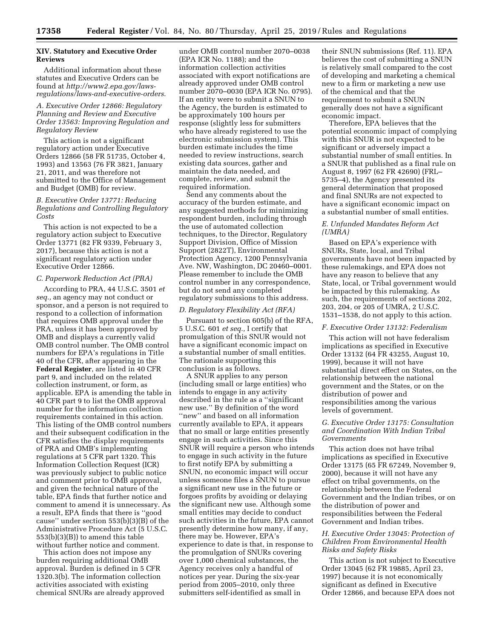# **XIV. Statutory and Executive Order Reviews**

Additional information about these statutes and Executive Orders can be found at *[http://www2.epa.gov/laws](http://www2.epa.gov/laws-regulations/laws-and-executive-orders)[regulations/laws-and-executive-orders](http://www2.epa.gov/laws-regulations/laws-and-executive-orders)*.

*A. Executive Order 12866: Regulatory Planning and Review and Executive Order 13563: Improving Regulation and Regulatory Review* 

This action is not a significant regulatory action under Executive Orders 12866 (58 FR 51735, October 4, 1993) and 13563 (76 FR 3821, January 21, 2011, and was therefore not submitted to the Office of Management and Budget (OMB) for review.

*B. Executive Order 13771: Reducing Regulations and Controlling Regulatory Costs* 

This action is not expected to be a regulatory action subject to Executive Order 13771 (82 FR 9339, February 3, 2017), because this action is not a significant regulatory action under Executive Order 12866.

# *C. Paperwork Reduction Act (PRA)*

According to PRA, 44 U.S.C. 3501 *et seq.,* an agency may not conduct or sponsor, and a person is not required to respond to a collection of information that requires OMB approval under the PRA, unless it has been approved by OMB and displays a currently valid OMB control number. The OMB control numbers for EPA's regulations in Title 40 of the CFR, after appearing in the **Federal Register**, are listed in 40 CFR part 9, and included on the related collection instrument, or form, as applicable. EPA is amending the table in 40 CFR part 9 to list the OMB approval number for the information collection requirements contained in this action. This listing of the OMB control numbers and their subsequent codification in the CFR satisfies the display requirements of PRA and OMB's implementing regulations at 5 CFR part 1320. This Information Collection Request (ICR) was previously subject to public notice and comment prior to OMB approval, and given the technical nature of the table, EPA finds that further notice and comment to amend it is unnecessary. As a result, EPA finds that there is ''good cause'' under section 553(b)(3)(B) of the Administrative Procedure Act (5 U.S.C. 553(b)(3)(B)) to amend this table without further notice and comment.

This action does not impose any burden requiring additional OMB approval. Burden is defined in 5 CFR 1320.3(b). The information collection activities associated with existing chemical SNURs are already approved

under OMB control number 2070–0038 (EPA ICR No. 1188); and the information collection activities associated with export notifications are already approved under OMB control number 2070–0030 (EPA ICR No. 0795). If an entity were to submit a SNUN to the Agency, the burden is estimated to be approximately 100 hours per response (slightly less for submitters who have already registered to use the electronic submission system). This burden estimate includes the time needed to review instructions, search existing data sources, gather and maintain the data needed, and complete, review, and submit the required information.

Send any comments about the accuracy of the burden estimate, and any suggested methods for minimizing respondent burden, including through the use of automated collection techniques, to the Director, Regulatory Support Division, Office of Mission Support (2822T), Environmental Protection Agency, 1200 Pennsylvania Ave. NW, Washington, DC 20460–0001. Please remember to include the OMB control number in any correspondence, but do not send any completed regulatory submissions to this address.

#### *D. Regulatory Flexibility Act (RFA)*

Pursuant to section 605(b) of the RFA, 5 U.S.C. 601 *et seq.,* I certify that promulgation of this SNUR would not have a significant economic impact on a substantial number of small entities. The rationale supporting this conclusion is as follows.

A SNUR applies to any person (including small or large entities) who intends to engage in any activity described in the rule as a ''significant new use.'' By definition of the word ''new'' and based on all information currently available to EPA, it appears that no small or large entities presently engage in such activities. Since this SNUR will require a person who intends to engage in such activity in the future to first notify EPA by submitting a SNUN, no economic impact will occur unless someone files a SNUN to pursue a significant new use in the future or forgoes profits by avoiding or delaying the significant new use. Although some small entities may decide to conduct such activities in the future, EPA cannot presently determine how many, if any, there may be. However, EPA's experience to date is that, in response to the promulgation of SNURs covering over 1,000 chemical substances, the Agency receives only a handful of notices per year. During the six-year period from 2005–2010, only three submitters self-identified as small in

their SNUN submissions (Ref. 11). EPA believes the cost of submitting a SNUN is relatively small compared to the cost of developing and marketing a chemical new to a firm or marketing a new use of the chemical and that the requirement to submit a SNUN generally does not have a significant economic impact.

Therefore, EPA believes that the potential economic impact of complying with this SNUR is not expected to be significant or adversely impact a substantial number of small entities. In a SNUR that published as a final rule on August 8, 1997 (62 FR 42690) (FRL– 5735–4), the Agency presented its general determination that proposed and final SNURs are not expected to have a significant economic impact on a substantial number of small entities.

# *E. Unfunded Mandates Reform Act (UMRA)*

Based on EPA's experience with SNURs, State, local, and Tribal governments have not been impacted by these rulemakings, and EPA does not have any reason to believe that any State, local, or Tribal government would be impacted by this rulemaking. As such, the requirements of sections 202, 203, 204, or 205 of UMRA, 2 U.S.C. 1531–1538, do not apply to this action.

# *F. Executive Order 13132: Federalism*

This action will not have federalism implications as specified in Executive Order 13132 (64 FR 43255, August 10, 1999), because it will not have substantial direct effect on States, on the relationship between the national government and the States, or on the distribution of power and responsibilities among the various levels of government.

# *G. Executive Order 13175: Consultation and Coordination With Indian Tribal Governments*

This action does not have tribal implications as specified in Executive Order 13175 (65 FR 67249, November 9, 2000), because it will not have any effect on tribal governments, on the relationship between the Federal Government and the Indian tribes, or on the distribution of power and responsibilities between the Federal Government and Indian tribes.

# *H. Executive Order 13045: Protection of Children From Environmental Health Risks and Safety Risks*

This action is not subject to Executive Order 13045 (62 FR 19885, April 23, 1997) because it is not economically significant as defined in Executive Order 12866, and because EPA does not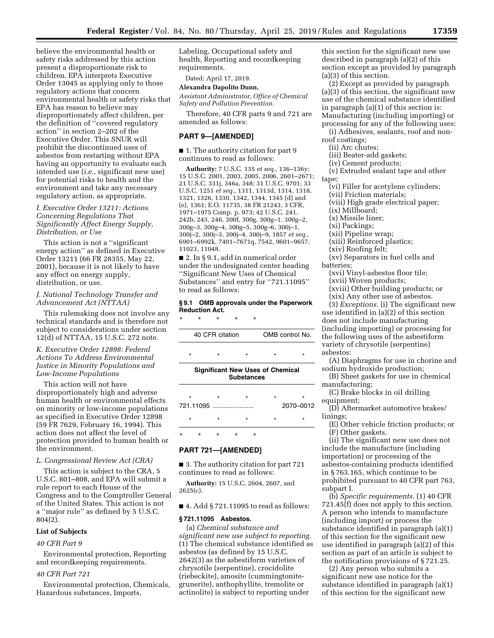believe the environmental health or safety risks addressed by this action present a disproportionate risk to children. EPA interprets Executive Order 13045 as applying only to those regulatory actions that concern environmental health or safety risks that EPA has reason to believe may disproportionately affect children, per the definition of ''covered regulatory action'' in section 2–202 of the Executive Order. This SNUR will prohibit the discontinued uses of asbestos from restarting without EPA having an opportunity to evaluate each intended use (*i.e.,* significant new use) for potential risks to health and the environment and take any necessary regulatory action, as appropriate.

# *I. Executive Order 13211: Actions Concerning Regulations That Significantly Affect Energy Supply, Distribution, or Use*

This action is not a ''significant energy action'' as defined in Executive Order 13211 (66 FR 28355, May 22, 2001), because it is not likely to have any effect on energy supply, distribution, or use.

# *J. National Technology Transfer and Advancement Act (NTTAA)*

This rulemaking does not involve any technical standards and is therefore not subject to considerations under section 12(d) of NTTAA, 15 U.S.C. 272 note.

# *K. Executive Order 12898: Federal Actions To Address Environmental Justice in Minority Populations and Low-Income Populations*

This action will not have disproportionately high and adverse human health or environmental effects on minority or low-income populations as specified in Executive Order 12898 (59 FR 7629, February 16, 1994). This action does not affect the level of protection provided to human health or the environment.

#### *L. Congressional Review Act (CRA)*

This action is subject to the CRA, 5 U.S.C. 801–808, and EPA will submit a rule report to each House of the Congress and to the Comptroller General of the United States. This action is not a ''major rule'' as defined by 5 U.S.C. 804(2).

# **List of Subjects**

# *40 CFR Part 9*

Environmental protection, Reporting and recordkeeping requirements.

# *40 CFR Part 721*

Environmental protection, Chemicals, Hazardous substances, Imports,

Labeling, Occupational safety and health, Reporting and recordkeeping requirements.

# Dated: April 17, 2019. **Alexandra Dapolito Dunn,**

*Assistant Administrator, Office of Chemical Safety and Pollution Prevention.* 

Therefore, 40 CFR parts 9 and 721 are amended as follows:

# **PART 9—[AMENDED]**

■ 1. The authority citation for part 9 continues to read as follows:

**Authority:** 7 U.S.C. 135 *et seq.,* 136–136y; 15 U.S.C. 2001, 2003, 2005, 2006, 2601–2671; 21 U.S.C. 331j, 346a, 348; 31 U.S.C. 9701; 33 U.S.C. 1251 *et seq.,* 1311, 1313d, 1314, 1318, 1321, 1326, 1330, 1342, 1344, 1345 (d) and (e), 1361; E.O. 11735, 38 FR 21243, 3 CFR, 1971–1975 Comp. p. 973; 42 U.S.C. 241, 242b, 243, 246, 300f, 300g, 300g–1, 300g–2, 300g–3, 300g–4, 300g–5, 300g–6, 300j–1, 300j–2, 300j–3, 300j–4, 300j–9, 1857 *et seq.,*  6901–6992k, 7401–7671q, 7542, 9601–9657, 11023, 11048.

■ 2. In § 9.1, add in numerical order under the undesignated center heading ''Significant New Uses of Chemical Substances'' and entry for ''721.11095'' to read as follows:

#### **§ 9.1 OMB approvals under the Paperwork Reduction Act.**

\* \* \* \* \*

|         | 40 CFR citation |                   | OMB control No.                         |         |
|---------|-----------------|-------------------|-----------------------------------------|---------|
| $\star$ | $\star$         | $\star$           | ÷                                       | ÷       |
|         |                 | <b>Substances</b> | <b>Significant New Uses of Chemical</b> |         |
| $\star$ | $\star$         | $\star$           | $\star$                                 | $\star$ |
|         | 721.11095       |                   | 2070-0012                               |         |

\* \* \* \* \*

# \* \* \* \* \* **PART 721—[AMENDED]**

■ 3. The authority citation for part 721 continues to read as follows:

**Authority:** 15 U.S.C. 2604, 2607, and 2625(c).

#### ■ 4. Add § 721.11095 to read as follows:

# **§ 721.11095 Asbestos.**

(a) *Chemical substance and significant new use subject to reporting.*  (1) The chemical substance identified as asbestos (as defined by 15 U.S.C. 2642(3) as the asbestiform varieties of chrysotile (serpentine), crocidolite (riebeckite), amosite (cummingtonitegrunerite), anthophyllite, tremolite or actinolite) is subject to reporting under

this section for the significant new use described in paragraph (a)(2) of this section except as provided by paragraph (a)(3) of this section.

(2) Except as provided by paragraph (a)(3) of this section, the significant new use of the chemical substance identified in paragraph (a)(1) of this section is: Manufacturing (including importing) or processing for any of the following uses:

(i) Adhesives, sealants, roof and nonroof coatings;

(ii) Arc chutes;

(iii) Beater-add gaskets;

(iv) Cement products;

(v) Extruded sealant tape and other

tape;

- (vi) Filler for acetylene cylinders;
- (vii) Friction materials;
- (viii) High grade electrical paper;
- (ix) Millboard;

(x) Missile liner;

(xi) Packings;

(xii) Pipeline wrap;

- (xiii) Reinforced plastics;
- (xiv) Roofing felt;

(xv) Separators in fuel cells and batteries;

(xvi) Vinyl-asbestos floor tile;

(xvii) Woven products; (xviii) Other building products; or

(xix) Any other use of asbestos.

(3) *Exceptions.* (i) The significant new use identified in (a)(2) of this section does not include manufacturing (including importing) or processing for the following uses of the asbestiform variety of chrysotile (serpentine) asbestos:

(A) Diaphragms for use in chorine and sodium hydroxide production;

(B) Sheet gaskets for use in chemical manufacturing;

(C) Brake blocks in oil drilling equipment;

(D) Aftermarket automotive brakes/ linings;

(E) Other vehicle friction products; or (F) Other gaskets.

(ii) The significant new use does not include the manufacture (including importation) or processing of the asbestos-containing products identified in § 763.165, which continue to be prohibited pursuant to 40 CFR part 763, subpart I.

(b) *Specific requirements.* (1) 40 CFR 721.45(f) does not apply to this section. A person who intends to manufacture (including import) or process the substance identified in paragraph (a)(1) of this section for the significant new use identified in paragraph (a)(2) of this section as part of an article is subject to the notification provisions of § 721.25.

(2) Any person who submits a significant new use notice for the substance identified in paragraph (a)(1) of this section for the significant new